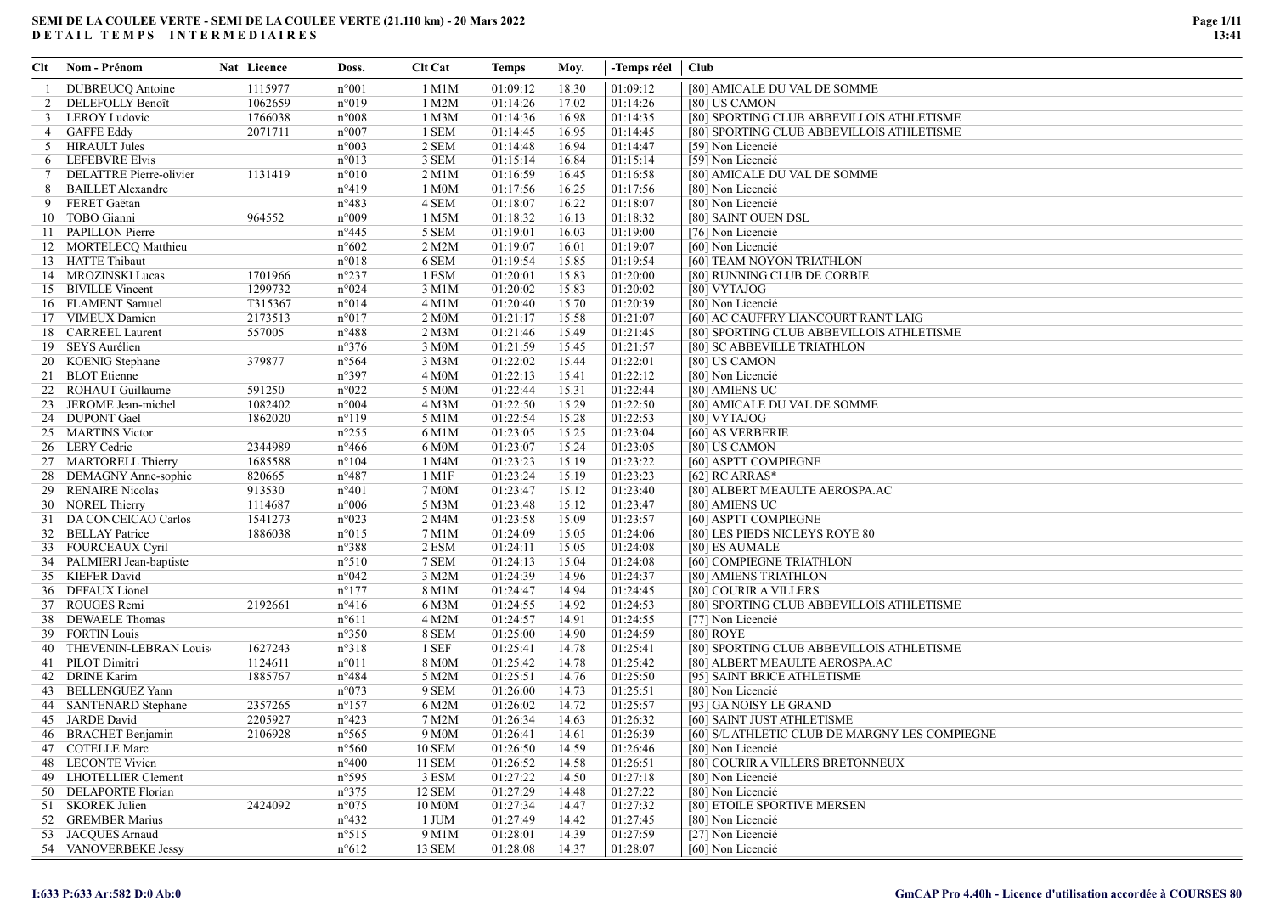| Clt             | Nom - Prénom              | Nat Licence | Doss.           | <b>Clt Cat</b>     | Temps    | Moy.  | -Temps réel   Club |                                                |
|-----------------|---------------------------|-------------|-----------------|--------------------|----------|-------|--------------------|------------------------------------------------|
| -1.             | DUBREUCO Antoine          | 1115977     | $n^{\circ}001$  | 1 M1M              | 01:09:12 | 18.30 | 01:09:12           | [80] AMICALE DU VAL DE SOMME                   |
| 2               | DELEFOLLY Benoît          | 1062659     | n°019           | 1 M2M              | 01:14:26 | 17.02 | 01:14:26           | [80] US CAMON                                  |
| 3               | LEROY Ludovic             | 1766038     | $n^{\circ}008$  | 1 M3M              | 01:14:36 | 16.98 | 01:14:35           | [80] SPORTING CLUB ABBEVILLOIS ATHLETISME      |
|                 | 4 GAFFE Eddy              | 2071711     | $n^{\circ}007$  | 1 SEM              | 01:14:45 | 16.95 | 01:14:45           | [80] SPORTING CLUB ABBEVILLOIS ATHLETISME      |
|                 | 5 HIRAULT Jules           |             | $n^{\circ}003$  | 2 SEM              | 01:14:48 | 16.94 | 01:14:47           | [59] Non Licencié                              |
|                 | 6 LEFEBVRE Elvis          |             | n°013           | 3 SEM              | 01:15:14 | 16.84 | 01:15:14           | [59] Non Licencié                              |
| $7\phantom{.0}$ | DELATTRE Pierre-olivier   | 1131419     | $n^{\circ}010$  | $2$ M $1$ M        | 01:16:59 | 16.45 | 01:16:58           | [80] AMICALE DU VAL DE SOMME                   |
| 8               | <b>BAILLET</b> Alexandre  |             | $n^{\circ}419$  | 1 M0M              | 01:17:56 | 16.25 | 01:17:56           | [80] Non Licencié                              |
| 9               | FERET Gaëtan              |             | $n^{\circ}483$  | 4 SEM              | 01:18:07 | 16.22 | 01:18:07           | [80] Non Licencié                              |
|                 | 10 TOBO Gianni            | 964552      | $n^{\circ}009$  | 1 M5M              | 01:18:32 | 16.13 | 01:18:32           | [80] SAINT OUEN DSL                            |
|                 | 11 PAPILLON Pierre        |             | $n^{\circ}445$  | 5 SEM              | 01:19:01 | 16.03 | 01:19:00           | [76] Non Licencié                              |
|                 | 12 MORTELECQ Matthieu     |             | $n^{\circ}602$  | 2 M2M              | 01:19:07 | 16.01 | 01:19:07           | [60] Non Licencié                              |
|                 | 13 HATTE Thibaut          |             | $n^{\circ}018$  | 6 SEM              | 01:19:54 | 15.85 | 01:19:54           | [60] TEAM NOYON TRIATHLON                      |
|                 | 14 MROZINSKI Lucas        | 1701966     | $n^{\circ}237$  | 1 ESM              | 01:20:01 | 15.83 | 01:20:00           | [80] RUNNING CLUB DE CORBIE                    |
|                 | 15 BIVILLE Vincent        | 1299732     | n°024           | 3 M1M              | 01:20:02 | 15.83 | 01:20:02           | [80] VYTAJOG                                   |
|                 | 16 FLAMENT Samuel         | T315367     | $n^{\circ}014$  | 4 M1M              | 01:20:40 | 15.70 | 01:20:39           | [80] Non Licencié                              |
|                 | 17 VIMEUX Damien          | 2173513     | $n^{\circ}017$  | 2 M <sub>0</sub> M | 01:21:17 | 15.58 | 01:21:07           | [60] AC CAUFFRY LIANCOURT RANT LAIG            |
|                 | 18 CARREEL Laurent        | 557005      | $n^{\circ}488$  | 2 M3M              | 01:21:46 | 15.49 | 01:21:45           | [80] SPORTING CLUB ABBEVILLOIS ATHLETISME      |
|                 | 19 SEYS Aurélien          |             | $n^{\circ}376$  | 3 M0M              | 01:21:59 | 15.45 | 01:21:57           | [80] SC ABBEVILLE TRIATHLON                    |
|                 | 20 KOENIG Stephane        | 379877      | $n^{\circ}$ 564 | 3 M3M              | 01:22:02 | 15.44 | 01:22:01           | [80] US CAMON                                  |
|                 | 21 BLOT Etienne           |             | n°397           | 4 M0M              | 01:22:13 | 15.41 | 01:22:12           | [80] Non Licencié                              |
|                 | 22 ROHAUT Guillaume       | 591250      | $n^{\circ}022$  | 5 M0M              | 01:22:44 | 15.31 | 01:22:44           | [80] AMIENS UC                                 |
|                 | 23 JEROME Jean-michel     | 1082402     | $n^{\circ}004$  | 4 M3M              | 01:22:50 | 15.29 | 01:22:50           | [80] AMICALE DU VAL DE SOMME                   |
|                 | 24 DUPONT Gael            | 1862020     | $n^{\circ}119$  | 5 M1M              | 01:22:54 | 15.28 | 01:22:53           | [80] VYTAJOG                                   |
|                 | 25 MARTINS Victor         |             | $n^{\circ}255$  | 6 M1M              | 01:23:05 | 15.25 | 01:23:04           | [60] AS VERBERIE                               |
|                 | 26 LERY Cedric            | 2344989     | $n^{\circ}466$  | 6 M0M              | 01:23:07 | 15.24 | 01:23:05           | [80] US CAMON                                  |
|                 | 27 MARTORELL Thierry      | 1685588     | $n^{\circ}104$  | 1 M4M              | 01:23:23 | 15.19 | 01:23:22           | [60] ASPTT COMPIEGNE                           |
|                 | 28 DEMAGNY Anne-sophie    | 820665      | $n^{\circ}487$  | 1 M1F              | 01:23:24 | 15.19 | 01:23:23           | [62] RC ARRAS*                                 |
|                 | 29 RENAIRE Nicolas        | 913530      | $n^{\circ}401$  | 7 M0M              | 01:23:47 | 15.12 | 01:23:40           | [80] ALBERT MEAULTE AEROSPA.AC                 |
|                 | 30 NOREL Thierry          | 1114687     | $n^{\circ}006$  | 5 M3M              | 01:23:48 | 15.12 | 01:23:47           | [80] AMIENS UC                                 |
|                 | 31 DA CONCEICAO Carlos    | 1541273     | $n^{\circ}023$  | 2 M4M              | 01:23:58 | 15.09 | 01:23:57           | [60] ASPTT COMPIEGNE                           |
|                 | 32 BELLAY Patrice         | 1886038     | $n^{\circ}015$  | 7 M1M              | 01:24:09 | 15.05 | 01:24:06           | [80] LES PIEDS NICLEYS ROYE 80                 |
|                 | 33 FOURCEAUX Cyril        |             | n°388           | 2 ESM              | 01:24:11 | 15.05 | 01:24:08           | [80] ES AUMALE                                 |
|                 | 34 PALMIERI Jean-baptiste |             | $n^{\circ}510$  | 7 SEM              | 01:24:13 | 15.04 | 01:24:08           | [60] COMPIEGNE TRIATHLON                       |
|                 | 35 KIEFER David           |             | $n^{\circ}042$  | 3 M2M              | 01:24:39 | 14.96 | 01:24:37           | [80] AMIENS TRIATHLON                          |
|                 | 36 DEFAUX Lionel          |             | $n^{\circ}177$  | 8 M1M              | 01:24:47 | 14.94 | 01:24:45           | [80] COURIR A VILLERS                          |
|                 | 37 ROUGES Remi            | 2192661     | $n^{\circ}416$  | 6 M3M              | 01:24:55 | 14.92 | 01:24:53           | [80] SPORTING CLUB ABBEVILLOIS ATHLETISME      |
|                 | 38 DEWAELE Thomas         |             | $n^{\circ}611$  | 4 M2M              | 01:24:57 | 14.91 | 01:24:55           | [77] Non Licencié                              |
|                 | 39 FORTIN Louis           |             | $n^{\circ}350$  | 8 SEM              | 01:25:00 | 14.90 | 01:24:59           | [80] ROYE                                      |
|                 | 40 THEVENIN-LEBRAN Louis  | 1627243     | n°318           | 1 SEF              | 01:25:41 | 14.78 | 01:25:41           | [80] SPORTING CLUB ABBEVILLOIS ATHLETISME      |
|                 | 41 PILOT Dimitri          | 1124611     | $n^{\circ}011$  | 8 M0M              | 01:25:42 | 14.78 | 01:25:42           | [80] ALBERT MEAULTE AEROSPA.AC                 |
|                 | 42 DRINE Karim            | 1885767     | $n^{\circ}484$  | 5 M2M              | 01:25:51 | 14.76 | 01:25:50           | [95] SAINT BRICE ATHLETISME                    |
|                 | 43 BELLENGUEZ Yann        |             | $n^{\circ}073$  | 9 SEM              | 01:26:00 | 14.73 | 01:25:51           | [80] Non Licencié                              |
|                 | 44 SANTENARD Stephane     | 2357265     | $n^{\circ}157$  | 6 M2M              | 01:26:02 | 14.72 | 01:25:57           | [93] GA NOISY LE GRAND                         |
|                 | 45 JARDE David            | 2205927     | $n^{\circ}423$  | 7 M2M              | 01:26:34 | 14.63 | 01:26:32           | [60] SAINT JUST ATHLETISME                     |
|                 | 46 BRACHET Benjamin       | 2106928     | n°565           | $9\overline{M}$    | 01:26:41 | 14.61 | 01:26:39           | [60] S/L ATHLETIC CLUB DE MARGNY LES COMPIEGNE |
|                 | 47 COTELLE Marc           |             | $n^{\circ}560$  | <b>10 SEM</b>      | 01:26:50 | 14.59 | 01:26:46           | [80] Non Licencié                              |
|                 | 48 LECONTE Vivien         |             | $n^{\circ}400$  | 11 SEM             | 01:26:52 | 14.58 | 01:26:51           | [80] COURIR A VILLERS BRETONNEUX               |
|                 | 49 LHOTELLIER Clement     |             | $n^{\circ}595$  | 3 ESM              | 01:27:22 | 14.50 | 01:27:18           | [80] Non Licencié                              |
|                 | 50 DELAPORTE Florian      |             | $n^{\circ}375$  | 12 SEM             | 01:27:29 | 14.48 | 01:27:22           | [80] Non Licencié                              |
|                 | 51 SKOREK Julien          | 2424092     | $n^{\circ}075$  | 10 M0M             | 01:27:34 | 14.47 | 01:27:32           | [80] ETOILE SPORTIVE MERSEN                    |
|                 | 52 GREMBER Marius         |             | $n^{\circ}432$  | 1 JUM              | 01:27:49 | 14.42 | 01:27:45           | [80] Non Licencié                              |
|                 | 53 JACQUES Arnaud         |             | $n^{\circ}515$  | 9 M1M              | 01:28:01 | 14.39 | 01:27:59           | [27] Non Licencié                              |
|                 | 54 VANOVERBEKE Jessy      |             | $n^{\circ}612$  | 13 SEM             | 01:28:08 | 14.37 | 01:28:07           | [60] Non Licencié                              |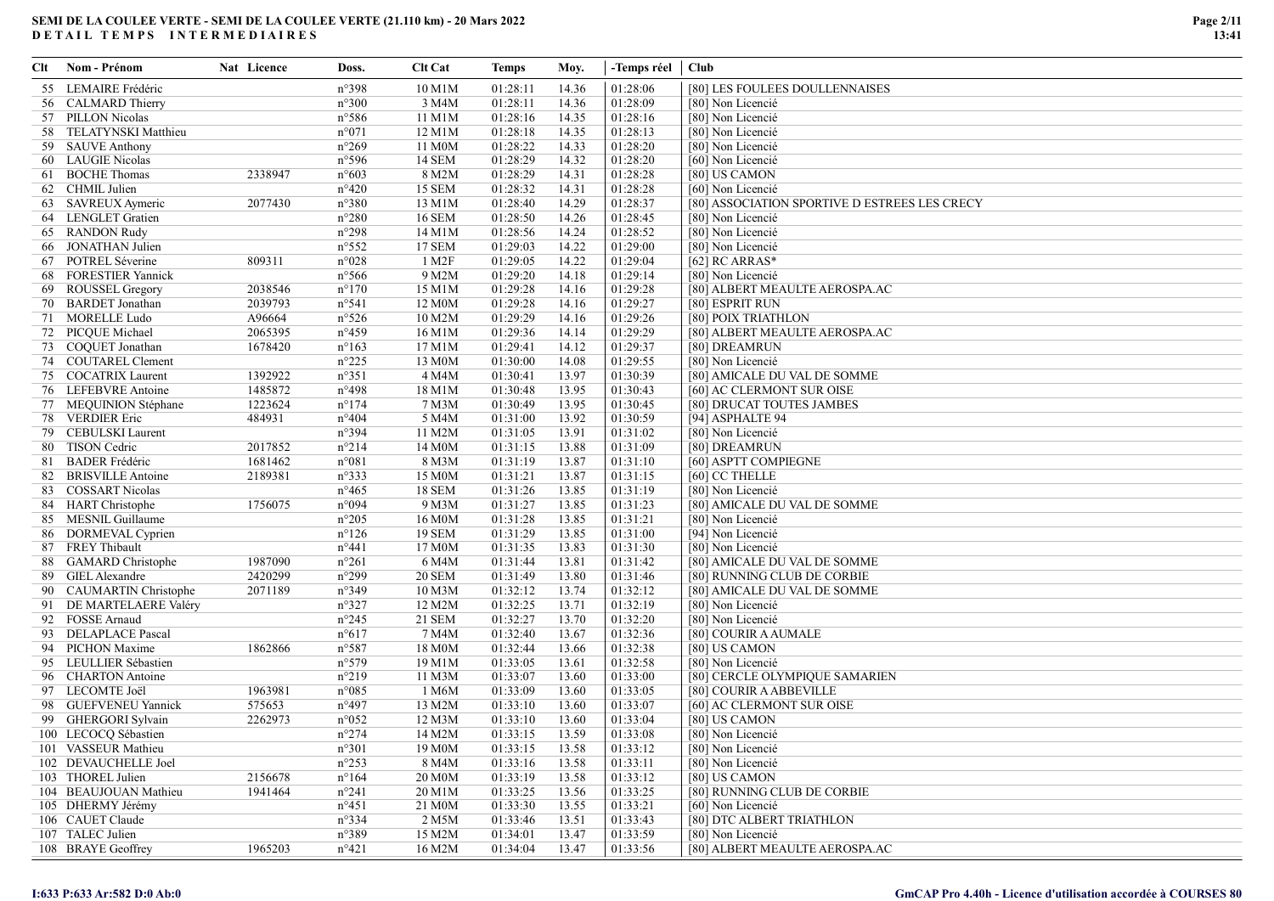| Clt | Nom - Prénom             | Nat Licence | Doss.          | <b>Clt Cat</b>      | Temps    | Moy.  | -Temps réel   Club |                                               |
|-----|--------------------------|-------------|----------------|---------------------|----------|-------|--------------------|-----------------------------------------------|
| 55  | LEMAIRE Frédéric         |             | n°398          | 10 M1M              | 01:28:11 | 14.36 | 01:28:06           | [80] LES FOULEES DOULLENNAISES                |
|     | 56 CALMARD Thierry       |             | n°300          | 3 M4M               | 01:28:11 | 14.36 | 01:28:09           | [80] Non Licencié                             |
|     | 57 PILLON Nicolas        |             | n°586          | 11 M1M              | 01:28:16 | 14.35 | 01:28:16           | [80] Non Licencié                             |
|     | 58 TELATYNSKI Matthieu   |             | n°071          | 12 M1M              | 01:28:18 | 14.35 | 01:28:13           | [80] Non Licencié                             |
|     | 59 SAUVE Anthony         |             | n°269          | 11 M0M              | 01:28:22 | 14.33 | 01:28:20           | [80] Non Licencié                             |
|     | 60 LAUGIE Nicolas        |             | n°596          | 14 SEM              | 01:28:29 | 14.32 | 01:28:20           | [60] Non Licencié                             |
|     | 61 BOCHE Thomas          | 2338947     | n°603          | 8 M2M               | 01:28:29 | 14.31 | 01:28:28           | [80] US CAMON                                 |
|     | 62 CHMIL Julien          |             | $n^{\circ}420$ | <b>15 SEM</b>       | 01:28:32 | 14.31 | 01:28:28           | [60] Non Licencié                             |
| 63  | SAVREUX Aymeric          | 2077430     | n°380          | 13 M1M              | 01:28:40 | 14.29 | 01:28:37           | [80] ASSOCIATION SPORTIVE D ESTREES LES CRECY |
|     | 64 LENGLET Gratien       |             | n°280          | 16 SEM              | 01:28:50 | 14.26 | 01:28:45           | [80] Non Licencié                             |
|     | 65 RANDON Rudy           |             | $n^{\circ}298$ | 14 M1M              | 01:28:56 | 14.24 | 01:28:52           | [80] Non Licencié                             |
|     | 66 JONATHAN Julien       |             | $n^{\circ}552$ | <b>17 SEM</b>       | 01:29:03 | 14.22 | 01:29:00           | [80] Non Licencié                             |
|     | 67 POTREL Séverine       | 809311      | n°028          | 1 M2F               | 01:29:05 | 14.22 | 01:29:04           | [62] RC ARRAS*                                |
|     | 68 FORESTIER Yannick     |             | n°566          | 9 M2M               | 01:29:20 | 14.18 | 01:29:14           | [80] Non Licencié                             |
|     | 69 ROUSSEL Gregory       | 2038546     | $n^{\circ}170$ | 15 M1M              | 01:29:28 | 14.16 | 01:29:28           | [80] ALBERT MEAULTE AEROSPA.AC                |
|     | 70 BARDET Jonathan       | 2039793     | n°541          | 12 M0M              | 01:29:28 | 14.16 | 01:29:27           | [80] ESPRIT RUN                               |
|     | 71 MORELLE Ludo          | A96664      | $n^{\circ}526$ | 10 M2M              | 01:29:29 | 14.16 | 01:29:26           | [80] POIX TRIATHLON                           |
|     | 72 PICQUE Michael        | 2065395     | n°459          | 16 M1M              | 01:29:36 | 14.14 | 01:29:29           | [80] ALBERT MEAULTE AEROSPA.AC                |
|     | 73 COQUET Jonathan       | 1678420     | $n^{\circ}163$ | 17 M1M              | 01:29:41 | 14.12 | 01:29:37           | [80] DREAMRUN                                 |
|     | 74 COUTAREL Clement      |             | $n^{\circ}225$ | 13 M0M              | 01:30:00 | 14.08 | 01:29:55           | [80] Non Licencié                             |
|     | 75 COCATRIX Laurent      | 1392922     | $n^{\circ}351$ | 4 M4M               | 01:30:41 | 13.97 | 01:30:39           | [80] AMICALE DU VAL DE SOMME                  |
|     | 76 LEFEBVRE Antoine      | 1485872     | n°498          | 18 M1M              | 01:30:48 | 13.95 | 01:30:43           | [60] AC CLERMONT SUR OISE                     |
|     | 77 MEQUINION Stéphane    | 1223624     | $n^{\circ}174$ | 7 M3M               | 01:30:49 | 13.95 | 01:30:45           | [80] DRUCAT TOUTES JAMBES                     |
|     | 78 VERDIER Eric          | 484931      | $n^{\circ}404$ | 5 M4M               | 01:31:00 | 13.92 | 01:30:59           | [94] ASPHALTE 94                              |
|     | 79 CEBULSKI Laurent      |             | n°394          | 11 M2M              | 01:31:05 | 13.91 | 01:31:02           | [80] Non Licencié                             |
|     | 80 TISON Cedric          | 2017852     | $n^{\circ}214$ | 14 M0M              | 01:31:15 | 13.88 | 01:31:09           | [80] DREAMRUN                                 |
|     | 81 BADER Frédéric        | 1681462     | n°081          | 8 M3M               | 01:31:19 | 13.87 | 01:31:10           | [60] ASPTT COMPIEGNE                          |
| 82  | <b>BRISVILLE Antoine</b> | 2189381     | n°333          | 15 M0M              | 01:31:21 | 13.87 | 01:31:15           | [60] CC THELLE                                |
|     | 83 COSSART Nicolas       |             | $n^{\circ}465$ | 18 SEM              | 01:31:26 | 13.85 | 01:31:19           | [80] Non Licencié                             |
|     | 84 HART Christophe       | 1756075     | n°094          | 9 M3M               | 01:31:27 | 13.85 | 01:31:23           | [80] AMICALE DU VAL DE SOMME                  |
|     | 85 MESNIL Guillaume      |             | n°205          | 16 M0M              | 01:31:28 | 13.85 | 01:31:21           | [80] Non Licencié                             |
|     | 86 DORMEVAL Cyprien      |             | $n^{\circ}126$ | 19 SEM              | 01:31:29 | 13.85 | 01:31:00           | [94] Non Licencié                             |
| 87  | <b>FREY Thibault</b>     |             | $n^{\circ}441$ | 17 M0M              | 01:31:35 | 13.83 | 01:31:30           | [80] Non Licencié                             |
|     | 88 GAMARD Christophe     | 1987090     | $n^{\circ}261$ | 6 M4M               | 01:31:44 | 13.81 | 01:31:42           | [80] AMICALE DU VAL DE SOMME                  |
|     | 89 GIEL Alexandre        | 2420299     | n°299          | <b>20 SEM</b>       | 01:31:49 | 13.80 | 01:31:46           | [80] RUNNING CLUB DE CORBIE                   |
|     | 90 CAUMARTIN Christophe  | 2071189     | n°349          | 10 M3M              | 01:32:12 | 13.74 | 01:32:12           | [80] AMICALE DU VAL DE SOMME                  |
|     | 91 DE MARTELAERE Valéry  |             | n°327          | 12 M2M              | 01:32:25 | 13.71 | 01:32:19           | [80] Non Licencié                             |
|     | 92 FOSSE Arnaud          |             | n°245          | 21 SEM              | 01:32:27 | 13.70 | 01:32:20           | [80] Non Licencié                             |
|     | 93 DELAPLACE Pascal      |             | $n^{\circ}617$ | 7 M4M               | 01:32:40 | 13.67 | 01:32:36           | [80] COURIR A AUMALE                          |
|     | 94 PICHON Maxime         | 1862866     | n°587          | 18 M0M              | 01:32:44 | 13.66 | 01:32:38           | [80] US CAMON                                 |
|     | 95 LEULLIER Sébastien    |             | n°579          | 19 M1M              | 01:33:05 | 13.61 | 01:32:58           | [80] Non Licencié                             |
|     | 96 CHARTON Antoine       |             | $n^{\circ}219$ | 11 M3M              | 01:33:07 | 13.60 | 01:33:00           | [80] CERCLE OLYMPIQUE SAMARIEN                |
|     | 97 LECOMTE Joël          | 1963981     | $n^{\circ}085$ | 1 M6M               | 01:33:09 | 13.60 | 01:33:05           | [80] COURIR A ABBEVILLE                       |
|     | 98 GUEFVENEU Yannick     | 575653      | n°497          | 13 M2M              | 01:33:10 | 13.60 | 01:33:07           | [60] AC CLERMONT SUR OISE                     |
|     | 99 GHERGORI Sylvain      | 2262973     | n°052          | 12 M3M              | 01:33:10 | 13.60 | 01:33:04           | [80] US CAMON                                 |
|     | 100 LECOCQ Sébastien     |             | n°274          | 14 M2M              | 01:33:15 | 13.59 | 01:33:08           | [80] Non Licencié                             |
|     | 101 VASSEUR Mathieu      |             | $n^{\circ}301$ | 19 M0M              | 01:33:15 | 13.58 | 01:33:12           | [80] Non Licencié                             |
|     | 102 DEVAUCHELLE Joel     |             | $n^{\circ}253$ | 8 M4M               | 01:33:16 | 13.58 | 01:33:11           | [80] Non Licencié                             |
|     | 103 THOREL Julien        | 2156678     | $n^{\circ}164$ | 20 M <sub>0</sub> M | 01:33:19 | 13.58 | 01:33:12           | [80] US CAMON                                 |
|     | 104 BEAUJOUAN Mathieu    | 1941464     | $n^{\circ}241$ | 20 M1M              | 01:33:25 | 13.56 | 01:33:25           | [80] RUNNING CLUB DE CORBIE                   |
|     | 105 DHERMY Jérémy        |             | $n^{\circ}451$ | 21 M <sub>0</sub> M | 01:33:30 | 13.55 | 01:33:21           | [60] Non Licencié                             |
|     | 106 CAUET Claude         |             | n°334          | 2 M5M               | 01:33:46 | 13.51 | 01:33:43           | [80] DTC ALBERT TRIATHLON                     |
|     | 107 TALEC Julien         |             | n°389          | 15 M2M              | 01:34:01 | 13.47 | 01:33:59           | [80] Non Licencié                             |
|     | 108 BRAYE Geoffrey       | 1965203     | $n^{\circ}421$ | 16 M2M              | 01:34:04 | 13.47 | 01:33:56           | [80] ALBERT MEAULTE AEROSPA.AC                |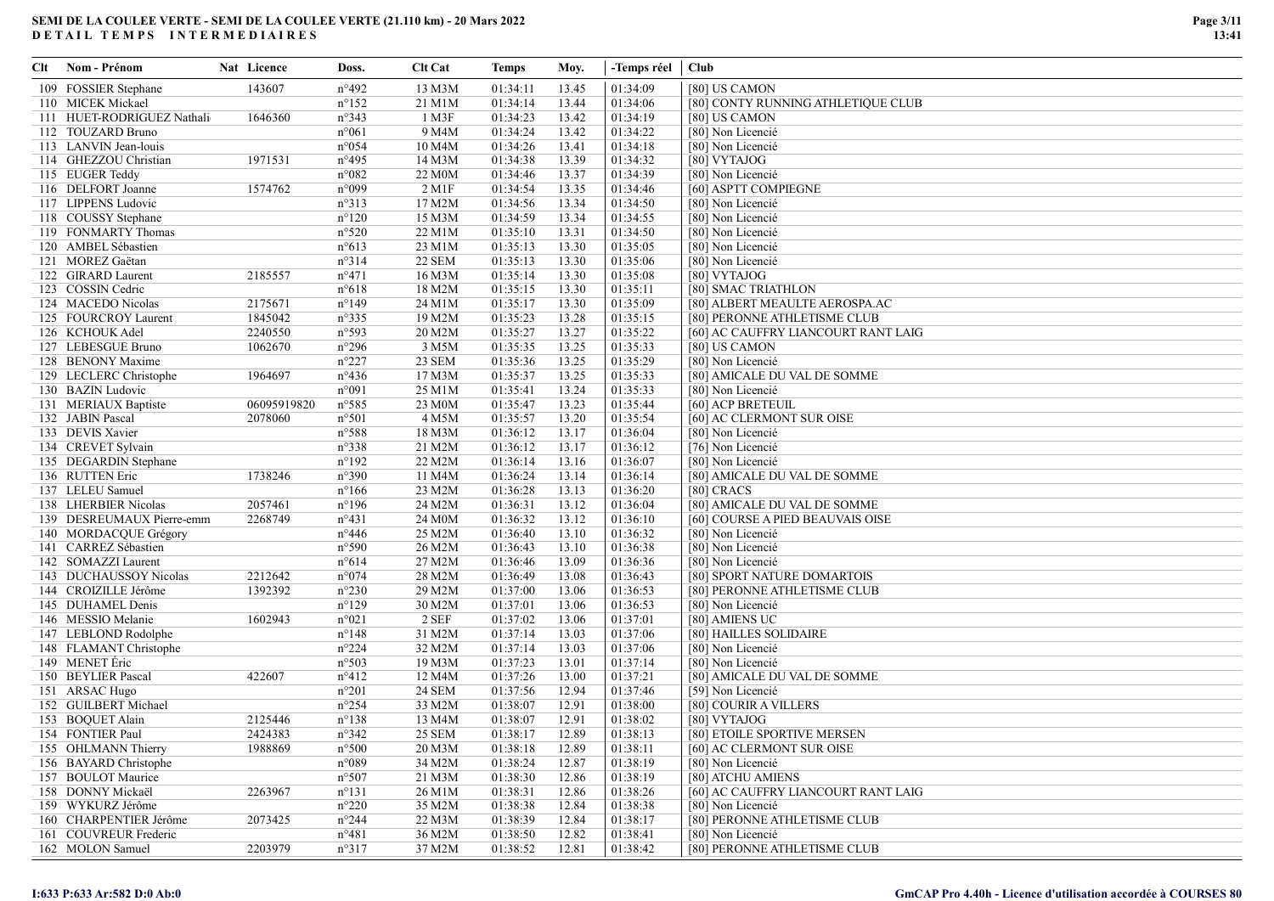| Clt | Nom - Prénom               | Nat Licence | Doss.          | <b>Clt Cat</b>       | <b>Temps</b> | Moy.  | -Temps réel   Club |                                     |
|-----|----------------------------|-------------|----------------|----------------------|--------------|-------|--------------------|-------------------------------------|
|     | 109 FOSSIER Stephane       | 143607      | n°492          | 13 M3M               | 01:34:11     | 13.45 | 01:34:09           | [80] US CAMON                       |
|     | 110 MICEK Mickael          |             | $n^{\circ}152$ | 21 M1M               | 01:34:14     | 13.44 | 01:34:06           | [80] CONTY RUNNING ATHLETIQUE CLUB  |
|     | 111 HUET-RODRIGUEZ Nathali | 1646360     | n°343          | 1 M3F                | 01:34:23     | 13.42 | 01:34:19           | [80] US CAMON                       |
|     | 112 TOUZARD Bruno          |             | $n^{\circ}061$ | 9 M4M                | 01:34:24     | 13.42 | 01:34:22           | [80] Non Licencié                   |
|     | 113 LANVIN Jean-louis      |             | $n^{\circ}054$ | 10 M4M               | 01:34:26     | 13.41 | 01:34:18           | [80] Non Licencié                   |
|     | 114 GHEZZOU Christian      | 1971531     | $n^{\circ}495$ | 14 M3M               | 01:34:38     | 13.39 | 01:34:32           | [80] VYTAJOG                        |
|     | 115 EUGER Teddy            |             | n°082          | 22 M <sub>0</sub> M  | 01:34:46     | 13.37 | 01:34:39           | [80] Non Licencié                   |
|     | 116 DELFORT Joanne         | 1574762     | n°099          | $2$ M <sub>1</sub> F | 01:34:54     | 13.35 | 01:34:46           | [60] ASPTT COMPIEGNE                |
|     | 117 LIPPENS Ludovic        |             | n°313          | 17 M2M               | 01:34:56     | 13.34 | 01:34:50           | [80] Non Licencié                   |
|     | 118 COUSSY Stephane        |             | $n^{\circ}120$ | 15 M3M               | 01:34:59     | 13.34 | 01:34:55           | [80] Non Licencié                   |
|     | 119 FONMARTY Thomas        |             | $n^{\circ}520$ | 22 M1M               | 01:35:10     | 13.31 | 01:34:50           | [80] Non Licencié                   |
|     | 120 AMBEL Sébastien        |             | $n^{\circ}613$ | 23 M1M               | 01:35:13     | 13.30 | 01:35:05           | [80] Non Licencié                   |
|     | 121 MOREZ Gaëtan           |             | $n^{\circ}314$ | <b>22 SEM</b>        | 01:35:13     | 13.30 | 01:35:06           | [80] Non Licencié                   |
|     | 122 GIRARD Laurent         | 2185557     | $n^{\circ}471$ | 16 M3M               | 01:35:14     | 13.30 | 01:35:08           | [80] VYTAJOG                        |
|     | 123 COSSIN Cedric          |             | $n^{\circ}618$ | 18 M2M               | 01:35:15     | 13.30 | 01:35:11           | [80] SMAC TRIATHLON                 |
|     | 124 MACEDO Nicolas         | 2175671     | $n^{\circ}149$ | 24 M1M               | 01:35:17     | 13.30 | 01:35:09           | [80] ALBERT MEAULTE AEROSPA.AC      |
|     | 125 FOURCROY Laurent       | 1845042     | $n^{\circ}335$ | 19 M2M               | 01:35:23     | 13.28 | 01:35:15           | [80] PERONNE ATHLETISME CLUB        |
|     | 126 KCHOUK Adel            | 2240550     | n°593          | 20 M2M               | 01:35:27     | 13.27 | 01:35:22           | [60] AC CAUFFRY LIANCOURT RANT LAIG |
|     | 127 LEBESGUE Bruno         | 1062670     | $n^{\circ}296$ | 3 M5M                | 01:35:35     | 13.25 | 01:35:33           | [80] US CAMON                       |
|     | 128 BENONY Maxime          |             | $n^{\circ}227$ | 23 SEM               | 01:35:36     | 13.25 | 01:35:29           | [80] Non Licencié                   |
|     | 129 LECLERC Christophe     | 1964697     | $n^{\circ}436$ | 17 M3M               | 01:35:37     | 13.25 | 01:35:33           | [80] AMICALE DU VAL DE SOMME        |
|     | 130 BAZIN Ludovic          |             | n°091          | 25 M1M               | 01:35:41     | 13.24 | 01:35:33           | [80] Non Licencié                   |
|     | 131 MERIAUX Baptiste       | 06095919820 | $n^{\circ}585$ | 23 M0M               | 01:35:47     | 13.23 | 01:35:44           | [60] ACP BRETEUIL                   |
|     | 132 JABIN Pascal           | 2078060     | $n^{\circ}501$ | 4 M5M                | 01:35:57     | 13.20 | 01:35:54           | [60] AC CLERMONT SUR OISE           |
|     | 133 DEVIS Xavier           |             | n°588          | 18 M3M               | 01:36:12     | 13.17 | 01:36:04           | [80] Non Licencié                   |
|     | 134 CREVET Sylvain         |             | n°338          | 21 M2M               | 01:36:12     | 13.17 | 01:36:12           | [76] Non Licencié                   |
|     | 135 DEGARDIN Stephane      |             | $n^{\circ}192$ | 22 M2M               | 01:36:14     | 13.16 | 01:36:07           | [80] Non Licencié                   |
|     | 136 RUTTEN Eric            | 1738246     | n°390          | 11 M4M               | 01:36:24     | 13.14 | 01:36:14           | [80] AMICALE DU VAL DE SOMME        |
|     | 137 LELEU Samuel           |             | $n^{\circ}166$ | 23 M2M               | 01:36:28     | 13.13 | 01:36:20           | $[80]$ CRACS                        |
|     | 138 LHERBIER Nicolas       | 2057461     | $n^{\circ}196$ | 24 M2M               | 01:36:31     | 13.12 | 01:36:04           | [80] AMICALE DU VAL DE SOMME        |
|     | 139 DESREUMAUX Pierre-emm  | 2268749     | $n^{\circ}431$ | 24 M <sub>0</sub> M  | 01:36:32     | 13.12 | 01:36:10           | [60] COURSE A PIED BEAUVAIS OISE    |
|     | 140 MORDACQUE Grégory      |             | $n^{\circ}446$ | 25 M2M               | 01:36:40     | 13.10 | 01:36:32           | [80] Non Licencié                   |
|     | 141 CARREZ Sébastien       |             | $n^{\circ}590$ | 26 M2M               | 01:36:43     | 13.10 | 01:36:38           | [80] Non Licencié                   |
|     | 142 SOMAZZI Laurent        |             | n°614          | 27 M2M               | 01:36:46     | 13.09 | 01:36:36           | [80] Non Licencié                   |
|     | 143 DUCHAUSSOY Nicolas     | 2212642     | $n^{\circ}074$ | 28 M2M               | 01:36:49     | 13.08 | 01:36:43           | [80] SPORT NATURE DOMARTOIS         |
|     | 144 CROIZILLE Jérôme       | 1392392     | $n^{\circ}230$ | 29 M2M               | 01:37:00     | 13.06 | 01:36:53           | [80] PERONNE ATHLETISME CLUB        |
|     | 145 DUHAMEL Denis          |             | $n^{\circ}129$ | 30 M2M               | 01:37:01     | 13.06 | 01:36:53           | [80] Non Licencié                   |
|     | 146 MESSIO Melanie         | 1602943     | n°021          | 2 SEF                | 01:37:02     | 13.06 | 01:37:01           | [80] AMIENS UC                      |
|     | 147 LEBLOND Rodolphe       |             | $n^{\circ}148$ | 31 M2M               | 01:37:14     | 13.03 | 01:37:06           | [80] HAILLES SOLIDAIRE              |
|     | 148 FLAMANT Christophe     |             | $n^{\circ}224$ | 32 M2M               | 01:37:14     | 13.03 | 01:37:06           | [80] Non Licencié                   |
|     | 149 MENET Eric             |             | n°503          | 19 M3M               | 01:37:23     | 13.01 | 01:37:14           | [80] Non Licencié                   |
|     | 150 BEYLIER Pascal         | 422607      | $n^{\circ}412$ | 12 M4M               | 01:37:26     | 13.00 | 01:37:21           | [80] AMICALE DU VAL DE SOMME        |
|     | 151 ARSAC Hugo             |             | $n^{\circ}201$ | <b>24 SEM</b>        | 01:37:56     | 12.94 | 01:37:46           | [59] Non Licencié                   |
|     | 152 GUILBERT Michael       |             | $n^{\circ}254$ | 33 M2M               | 01:38:07     | 12.91 | 01:38:00           | [80] COURIR A VILLERS               |
|     | 153 BOQUET Alain           | 2125446     | $n^{\circ}138$ | 13 M4M               | 01:38:07     | 12.91 | 01:38:02           | [80] VYTAJOG                        |
|     | 154 FONTIER Paul           | 2424383     | n°342          | 25 SEM               | 01:38:17     | 12.89 | 01:38:13           | [80] ETOILE SPORTIVE MERSEN         |
|     | 155 OHLMANN Thierry        | 1988869     | $n^{\circ}500$ | 20 M3M               | 01:38:18     | 12.89 | 01:38:11           | [60] AC CLERMONT SUR OISE           |
|     | 156 BAYARD Christophe      |             | n°089          | 34 M2M               | 01:38:24     | 12.87 | 01:38:19           | [80] Non Licencié                   |
|     | 157 BOULOT Maurice         |             | $n^{\circ}507$ | 21 M3M               | 01:38:30     | 12.86 | 01:38:19           | [80] ATCHU AMIENS                   |
|     | 158 DONNY Mickaël          | 2263967     | $n^{\circ}131$ | 26 M1M               | 01:38:31     | 12.86 | 01:38:26           | [60] AC CAUFFRY LIANCOURT RANT LAIG |
|     | 159 WYKURZ Jérôme          |             | $n^{\circ}220$ | 35 M2M               | 01:38:38     | 12.84 | 01:38:38           | [80] Non Licencié                   |
|     | 160 CHARPENTIER Jérôme     | 2073425     | $n^{\circ}244$ | 22 M3M               | 01:38:39     | 12.84 | 01:38:17           | [80] PERONNE ATHLETISME CLUB        |
|     | 161 COUVREUR Frederic      |             | $n^{\circ}481$ | 36 M2M               | 01:38:50     | 12.82 | 01:38:41           | [80] Non Licencié                   |
|     | 162 MOLON Samuel           | 2203979     | $n^{\circ}317$ | 37 M2M               | 01:38:52     | 12.81 | 01:38:42           | [80] PERONNE ATHLETISME CLUB        |
|     |                            |             |                |                      |              |       |                    |                                     |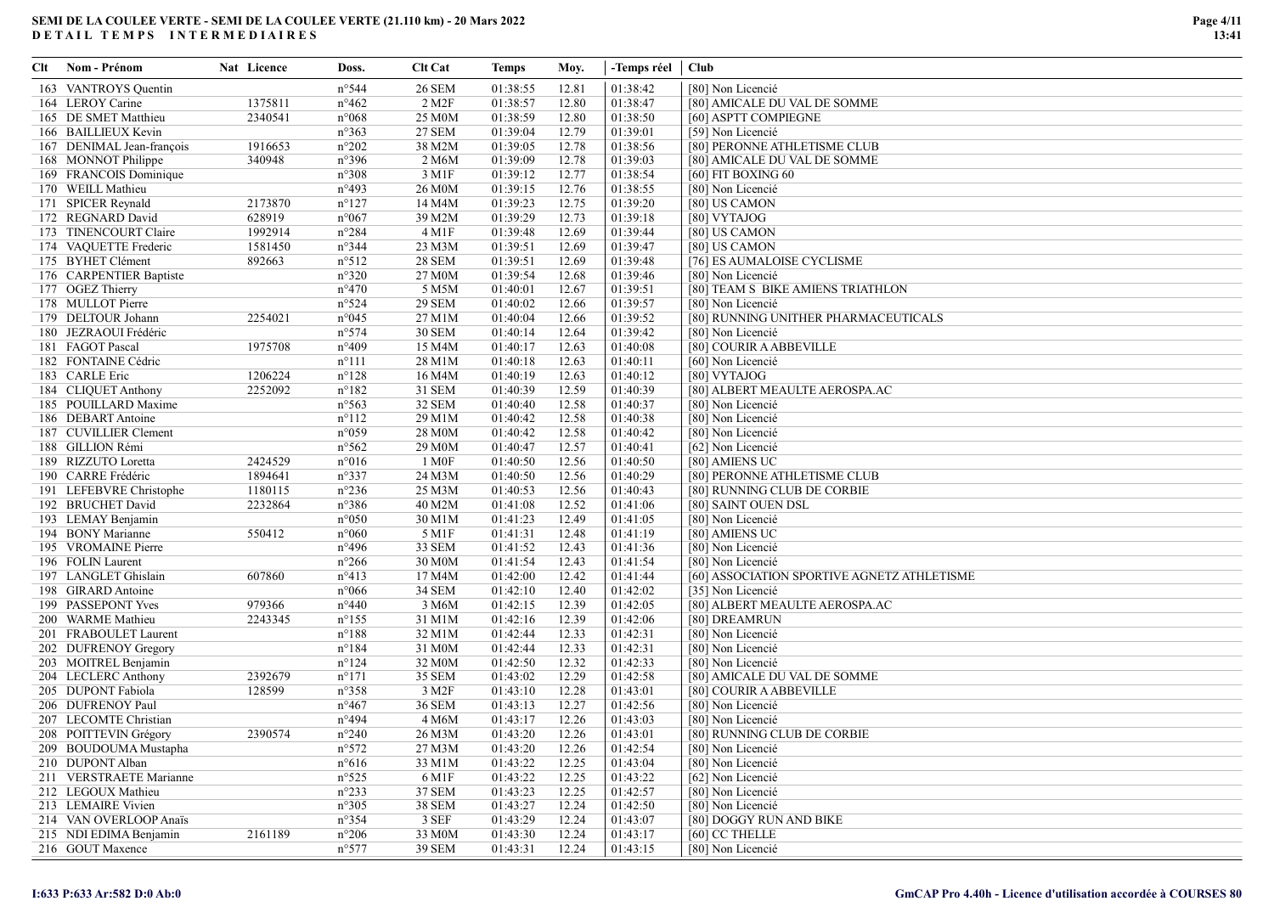| Clt | Nom - Prénom              | Nat Licence | Doss.           | <b>Clt Cat</b>      | Temps    | Moy.  | -Temps réel   Club |                                                                  |
|-----|---------------------------|-------------|-----------------|---------------------|----------|-------|--------------------|------------------------------------------------------------------|
|     | 163 VANTROYS Quentin      |             | n°544           | <b>26 SEM</b>       | 01:38:55 | 12.81 | 01:38:42           | [80] Non Licencié                                                |
|     | 164 LEROY Carine          | 1375811     | $n^{\circ}462$  | 2 M2F               | 01:38:57 | 12.80 | 01:38:47           | [80] AMICALE DU VAL DE SOMME                                     |
|     | 165 DE SMET Matthieu      | 2340541     | n°068           | 25 M <sub>0</sub> M | 01:38:59 | 12.80 | 01:38:50           | [60] ASPTT COMPIEGNE                                             |
|     | 166 BAILLIEUX Kevin       |             | n°363           | <b>27 SEM</b>       | 01:39:04 | 12.79 | 01:39:01           | [59] Non Licencié                                                |
|     | 167 DENIMAL Jean-françois | 1916653     | $n^{\circ}202$  | 38 M2M              | 01:39:05 | 12.78 | 01:38:56           | [80] PERONNE ATHLETISME CLUB                                     |
|     | 168 MONNOT Philippe       | 340948      | n°396           | 2 M6M               | 01:39:09 | 12.78 | 01:39:03           | [80] AMICALE DU VAL DE SOMME                                     |
|     | 169 FRANCOIS Dominique    |             | n°308           | 3 M1F               | 01:39:12 | 12.77 | 01:38:54           | [60] FIT BOXING 60                                               |
|     | 170 WEILL Mathieu         |             | n°493           | 26 M0M              | 01:39:15 | 12.76 | 01:38:55           | [80] Non Licencié                                                |
|     | 171 SPICER Reynald        | 2173870     | $n^{\circ}127$  | 14 M4M              | 01:39:23 | 12.75 | 01:39:20           | [80] US CAMON                                                    |
|     | 172 REGNARD David         | 628919      | n°067           | 39 M2M              | 01:39:29 | 12.73 | 01:39:18           | [80] VYTAJOG                                                     |
|     | 173 TINENCOURT Claire     | 1992914     | $n^{\circ}284$  | $4 \,\mathrm{M1F}$  | 01:39:48 | 12.69 | 01:39:44           | [80] US CAMON                                                    |
|     | 174 VAQUETTE Frederic     | 1581450     | $n^{\circ}344$  | 23 M3M              | 01:39:51 | 12.69 | 01:39:47           | [80] US CAMON                                                    |
|     | 175 BYHET Clément         | 892663      | $n^{\circ}512$  | <b>28 SEM</b>       | 01:39:51 | 12.69 | 01:39:48           | [76] ES AUMALOISE CYCLISME                                       |
|     | 176 CARPENTIER Baptiste   |             | n°320           | 27 M0M              | 01:39:54 | 12.68 | 01:39:46           | [80] Non Licencié                                                |
|     | 177 OGEZ Thierry          |             | $n^{\circ}470$  | 5 M5M               | 01:40:01 | 12.67 | 01:39:51           | [80] TEAM S BIKE AMIENS TRIATHLON                                |
|     | 178 MULLOT Pierre         |             | n°524           | <b>29 SEM</b>       | 01:40:02 | 12.66 | 01:39:57           | [80] Non Licencié                                                |
|     | 179 DELTOUR Johann        | 2254021     | $n^{\circ}045$  | 27 M1M              | 01:40:04 | 12.66 | 01:39:52           | [80] RUNNING UNITHER PHARMACEUTICALS                             |
|     | 180 JEZRAOUI Frédéric     |             | n°574           | <b>30 SEM</b>       | 01:40:14 | 12.64 | 01:39:42           | [80] Non Licencié                                                |
|     | 181 FAGOT Pascal          | 1975708     | n°409           | 15 M4M              | 01:40:17 | 12.63 | 01:40:08           | [80] COURIR A ABBEVILLE                                          |
|     | 182 FONTAINE Cédric       |             | $n^{\circ}111$  | 28 M1M              | 01:40:18 | 12.63 | 01:40:11           | [60] Non Licencié                                                |
|     | 183 CARLE Eric            | 1206224     | $n^{\circ}128$  | 16 M4M              | 01:40:19 | 12.63 | 01:40:12           | [80] VYTAJOG                                                     |
|     | 184 CLIQUET Anthony       | 2252092     | $n^{\circ}182$  | 31 SEM              | 01:40:39 | 12.59 | 01:40:39           | [80] ALBERT MEAULTE AEROSPA.AC                                   |
|     | 185 POUILLARD Maxime      |             | $n^{\circ}$ 563 | 32 SEM              | 01:40:40 | 12.58 | 01:40:37           | [80] Non Licencié                                                |
|     | 186 DEBART Antoine        |             | $n^{\circ}112$  | 29 M1M              | 01:40:42 | 12.58 | 01:40:38           | [80] Non Licencié                                                |
|     | 187 CUVILLIER Clement     |             | n°059           | 28 M0M              | 01:40:42 | 12.58 | 01:40:42           | [80] Non Licencié                                                |
|     | 188 GILLION Rémi          |             | n°562           | 29 M <sub>0</sub> M | 01:40:47 | 12.57 | 01:40:41           | [62] Non Licencié                                                |
|     | 189 RIZZUTO Loretta       | 2424529     | n°016           | 1 M0F               | 01:40:50 | 12.56 | 01:40:50           | [80] AMIENS UC                                                   |
|     | 190 CARRE Frédéric        | 1894641     | n°337           | 24 M3M              | 01:40:50 | 12.56 | 01:40:29           | [80] PERONNE ATHLETISME CLUB                                     |
|     | 191 LEFEBVRE Christophe   | 1180115     | $n^{\circ}236$  | 25 M3M              | 01:40:53 | 12.56 | 01:40:43           | [80] RUNNING CLUB DE CORBIE                                      |
|     | 192 BRUCHET David         | 2232864     | n°386           | 40 M2M              | 01:41:08 | 12.52 | 01:41:06           | [80] SAINT OUEN DSL                                              |
|     | 193 LEMAY Benjamin        |             | n°050           | 30 M1M              | 01:41:23 | 12.49 | 01:41:05           |                                                                  |
|     | 194 BONY Marianne         | 550412      | n°060           |                     | 01:41:31 | 12.48 | 01:41:19           | [80] Non Licencié                                                |
|     | 195 VROMAINE Pierre       |             | n°496           | 5 M1F<br>33 SEM     | 01:41:52 | 12.43 | 01:41:36           | [80] AMIENS UC<br>[80] Non Licencié                              |
|     | 196 FOLIN Laurent         |             | $n^{\circ}266$  | 30 M0M              | 01:41:54 | 12.43 | 01:41:54           | [80] Non Licencié                                                |
|     | 197 LANGLET Ghislain      | 607860      | n°413           | 17 M4M              | 01:42:00 | 12.42 | 01:41:44           |                                                                  |
|     | 198 GIRARD Antoine        |             | n°066           | 34 SEM              | 01:42:10 | 12.40 | 01:42:02           | [60] ASSOCIATION SPORTIVE AGNETZ ATHLETISME<br>[35] Non Licencié |
|     | 199 PASSEPONT Yves        | 979366      | $n^{\circ}440$  | 3 M6M               | 01:42:15 | 12.39 | 01:42:05           | [80] ALBERT MEAULTE AEROSPA.AC                                   |
|     | 200 WARME Mathieu         | 2243345     | $n^{\circ}155$  | 31 M1M              | 01:42:16 | 12.39 | 01:42:06           | [80] DREAMRUN                                                    |
|     | 201 FRABOULET Laurent     |             | $n^{\circ}188$  | 32 M1M              | 01:42:44 | 12.33 | 01:42:31           | [80] Non Licencié                                                |
|     | 202 DUFRENOY Gregory      |             | $n^{\circ}184$  |                     | 01:42:44 |       | 01:42:31           |                                                                  |
|     |                           |             | $n^{\circ}124$  | 31 M0M<br>32 M0M    | 01:42:50 | 12.33 | 01:42:33           | [80] Non Licencié                                                |
|     | 203 MOITREL Benjamin      |             |                 |                     |          | 12.32 |                    | [80] Non Licencié                                                |
|     | 204 LECLERC Anthony       | 2392679     | $n^{\circ}171$  | <b>35 SEM</b>       | 01:43:02 | 12.29 | 01:42:58           | [80] AMICALE DU VAL DE SOMME                                     |
|     | 205 DUPONT Fabiola        | 128599      | n°358           | 3 M2F               | 01:43:10 | 12.28 | 01:43:01           | [80] COURIR A ABBEVILLE                                          |
|     | 206 DUFRENOY Paul         |             | $n^{\circ}467$  | 36 SEM              | 01:43:13 | 12.27 | 01:42:56           | [80] Non Licencié                                                |
|     | 207 LECOMTE Christian     |             | n°494           | 4 M6M               | 01:43:17 | 12.26 | 01:43:03           | [80] Non Licencié                                                |
|     | 208 POITTEVIN Grégory     | 2390574     | $n^{\circ}240$  | 26 M3M              | 01:43:20 | 12.26 | 01:43:01           | [80] RUNNING CLUB DE CORBIE                                      |
|     | 209 BOUDOUMA Mustapha     |             | n°572           | 27 M3M              | 01:43:20 | 12.26 | 01:42:54           | [80] Non Licencié                                                |
|     | 210 DUPONT Alban          |             | $n^{\circ}616$  | 33 M1M              | 01:43:22 | 12.25 | 01:43:04           | [80] Non Licencié                                                |
|     | 211 VERSTRAETE Marianne   |             | $n^{\circ}525$  | 6 M1F               | 01:43:22 | 12.25 | 01:43:22           | [62] Non Licencié                                                |
|     | 212 LEGOUX Mathieu        |             | n°233           | 37 SEM              | 01:43:23 | 12.25 | 01:42:57           | [80] Non Licencié                                                |
|     | 213 LEMAIRE Vivien        |             | $n^{\circ}305$  | <b>38 SEM</b>       | 01:43:27 | 12.24 | 01:42:50           | [80] Non Licencié                                                |
|     | 214 VAN OVERLOOP Anaïs    |             | n°354           | 3 SEF               | 01:43:29 | 12.24 | 01:43:07           | [80] DOGGY RUN AND BIKE                                          |
|     | 215 NDI EDIMA Benjamin    | 2161189     | $n^{\circ}206$  | 33 M0M              | 01:43:30 | 12.24 | 01:43:17           | [60] CC THELLE                                                   |
|     | 216 GOUT Maxence          |             | n°577           | 39 SEM              | 01:43:31 | 12.24 | 01:43:15           | [80] Non Licencié                                                |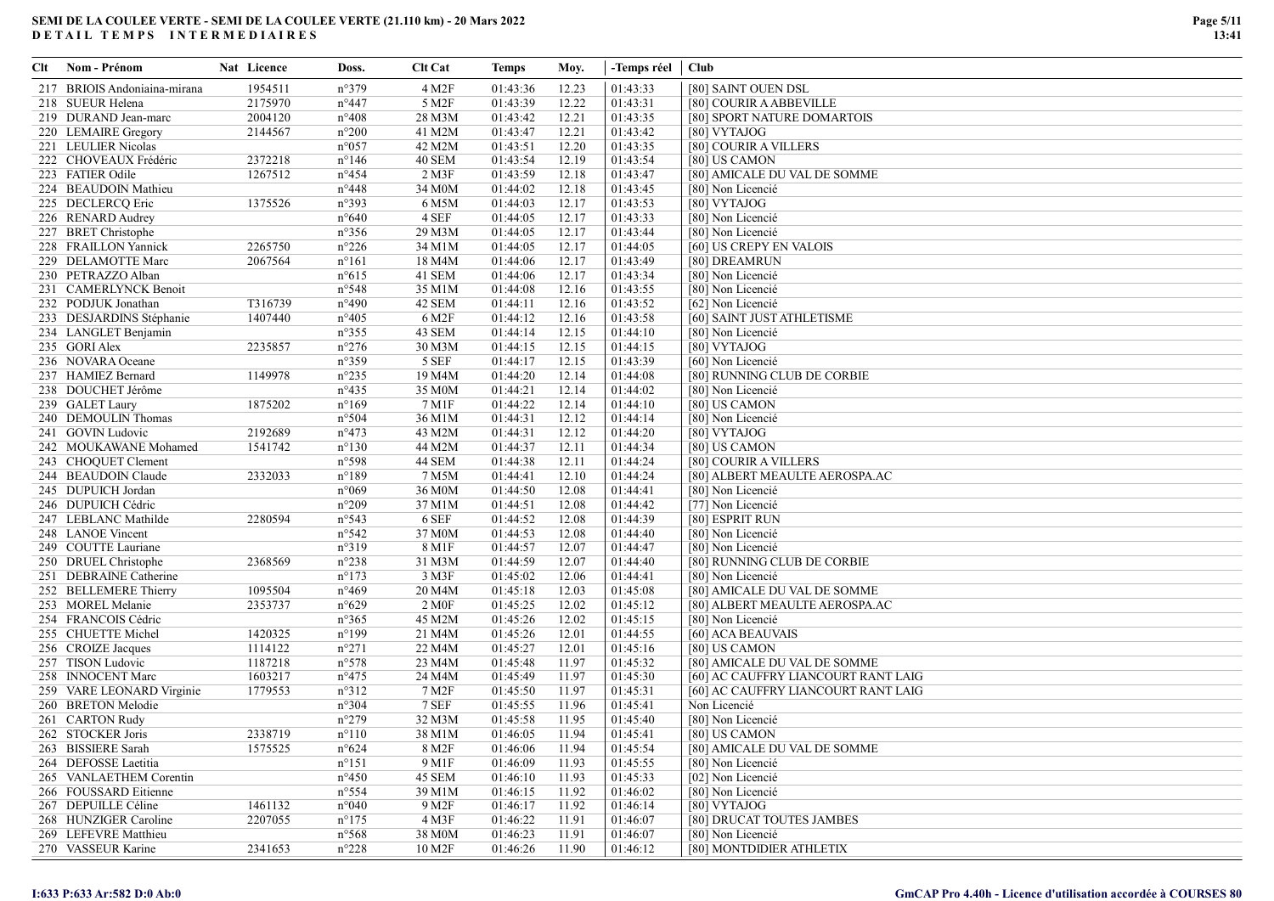| Clt | Nom - Prénom                 | Nat Licence | Doss.           | Clt Cat           | <b>Temps</b> | Moy.  | -Temps réel   Club |                                     |
|-----|------------------------------|-------------|-----------------|-------------------|--------------|-------|--------------------|-------------------------------------|
|     | 217 BRIOIS Andoniaina-mirana | 1954511     | n°379           | 4 M2F             | 01:43:36     | 12.23 | 01:43:33           | [80] SAINT OUEN DSL                 |
|     | 218 SUEUR Helena             | 2175970     | $n^{\circ}447$  | 5 M2F             | 01:43:39     | 12.22 | 01:43:31           | [80] COURIR A ABBEVILLE             |
|     | 219 DURAND Jean-marc         | 2004120     | $n^{\circ}408$  | 28 M3M            | 01:43:42     | 12.21 | 01:43:35           | [80] SPORT NATURE DOMARTOIS         |
|     | 220 LEMAIRE Gregory          | 2144567     | $n^{\circ}200$  | 41 M2M            | 01:43:47     | 12.21 | 01:43:42           | [80] VYTAJOG                        |
|     | 221 LEULIER Nicolas          |             | $n^{\circ}057$  | 42 M2M            | 01:43:51     | 12.20 | 01:43:35           | [80] COURIR A VILLERS               |
|     | 222 CHOVEAUX Frédéric        | 2372218     | $n^{\circ}146$  | <b>40 SEM</b>     | 01:43:54     | 12.19 | 01:43:54           | [80] US CAMON                       |
|     | 223 FATIER Odile             | 1267512     | $n^{\circ}454$  | 2 M3F             | 01:43:59     | 12.18 | 01:43:47           | [80] AMICALE DU VAL DE SOMME        |
|     | 224 BEAUDOIN Mathieu         |             | $n^{\circ}448$  | 34 M0M            | 01:44:02     | 12.18 | 01:43:45           | [80] Non Licencié                   |
|     | 225 DECLERCQ Eric            | 1375526     | $n^{\circ}393$  | 6 M5M             | 01:44:03     | 12.17 | 01:43:53           | [80] VYTAJOG                        |
|     | 226 RENARD Audrey            |             | $n^{\circ}640$  | 4 SEF             | 01:44:05     | 12.17 | 01:43:33           | [80] Non Licencié                   |
|     | 227 BRET Christophe          |             | $n^{\circ}356$  | 29 M3M            | 01:44:05     | 12.17 | 01:43:44           | [80] Non Licencié                   |
|     | 228 FRAILLON Yannick         | 2265750     | $n^{\circ}226$  | 34 M1M            | 01:44:05     | 12.17 | 01:44:05           | [60] US CREPY EN VALOIS             |
|     | 229 DELAMOTTE Marc           | 2067564     | $n^{\circ}161$  | 18 M4M            | 01:44:06     | 12.17 | 01:43:49           | [80] DREAMRUN                       |
|     | 230 PETRAZZO Alban           |             | $n^{\circ}615$  | 41 SEM            | 01:44:06     | 12.17 | 01:43:34           | [80] Non Licencié                   |
|     | 231 CAMERLYNCK Benoit        |             | $n^{\circ}548$  | 35 M1M            | 01:44:08     | 12.16 | 01:43:55           | [80] Non Licencié                   |
|     | 232 PODJUK Jonathan          | T316739     | $n^{\circ}490$  | 42 SEM            | 01:44:11     | 12.16 | 01:43:52           | [62] Non Licencié                   |
|     | 233 DESJARDINS Stéphanie     | 1407440     | $n^{\circ}405$  | 6 M2F             | 01:44:12     | 12.16 | 01:43:58           | [60] SAINT JUST ATHLETISME          |
|     | 234 LANGLET Benjamin         |             | $n^{\circ}355$  | 43 SEM            | 01:44:14     | 12.15 | 01:44:10           | [80] Non Licencié                   |
|     | 235 GORI Alex                | 2235857     | $n^{\circ}276$  | 30 M3M            | 01:44:15     | 12.15 | 01:44:15           | [80] VYTAJOG                        |
|     | 236 NOVARA Oceane            |             | $n^{\circ}359$  | 5 SEF             | 01:44:17     | 12.15 | 01:43:39           | [60] Non Licencié                   |
|     | 237 HAMIEZ Bernard           | 1149978     | $n^{\circ}235$  | 19 M4M            | 01:44:20     | 12.14 | 01:44:08           | [80] RUNNING CLUB DE CORBIE         |
|     | 238 DOUCHET Jérôme           |             | $n^{\circ}435$  | 35 M0M            | 01:44:21     | 12.14 | 01:44:02           | [80] Non Licencié                   |
|     | 239 GALET Laury              | 1875202     | $n^{\circ}169$  | 7 M1F             | 01:44:22     | 12.14 | 01:44:10           | [80] US CAMON                       |
|     | 240 DEMOULIN Thomas          |             | $n^{\circ}504$  | 36 M1M            | 01:44:31     | 12.12 | 01:44:14           | [80] Non Licencié                   |
|     | 241 GOVIN Ludovic            | 2192689     | $n^{\circ}473$  | 43 M2M            | 01:44:31     | 12.12 | 01:44:20           | [80] VYTAJOG                        |
|     | 242 MOUKAWANE Mohamed        | 1541742     | $n^{\circ}130$  | 44 M2M            | 01:44:37     | 12.11 | 01:44:34           | [80] US CAMON                       |
|     | 243 CHOQUET Clement          |             | n°598           | 44 SEM            | 01:44:38     | 12.11 | 01:44:24           | [80] COURIR A VILLERS               |
|     | 244 BEAUDOIN Claude          | 2332033     | $n^{\circ}189$  | 7 M5M             | 01:44:41     | 12.10 | 01:44:24           | [80] ALBERT MEAULTE AEROSPA.AC      |
|     | 245 DUPUICH Jordan           |             | $n^{\circ}069$  | 36 M0M            | 01:44:50     | 12.08 | 01:44:41           | [80] Non Licencié                   |
|     | 246 DUPUICH Cédric           |             | $n^{\circ}209$  | 37 M1M            | 01:44:51     | 12.08 | 01:44:42           | [77] Non Licencié                   |
|     | 247 LEBLANC Mathilde         | 2280594     | $n^{\circ}543$  | 6 SEF             | 01:44:52     | 12.08 | 01:44:39           | [80] ESPRIT RUN                     |
|     | 248 LANOE Vincent            |             | n°542           | 37 M0M            | 01:44:53     | 12.08 | 01:44:40           | [80] Non Licencié                   |
|     | 249 COUTTE Lauriane          |             | n°319           | 8 M1F             | 01:44:57     | 12.07 | 01:44:47           | [80] Non Licencié                   |
|     | 250 DRUEL Christophe         | 2368569     | $n^{\circ}238$  | 31 M3M            | 01:44:59     | 12.07 | 01:44:40           | [80] RUNNING CLUB DE CORBIE         |
|     | 251 DEBRAINE Catherine       |             | $n^{\circ}173$  | 3 M3F             | 01:45:02     | 12.06 | 01:44:41           | [80] Non Licencié                   |
|     | 252 BELLEMERE Thierry        | 1095504     | $n^{\circ}469$  | 20 M4M            | 01:45:18     | 12.03 | 01:45:08           | [80] AMICALE DU VAL DE SOMME        |
|     | 253 MOREL Melanie            | 2353737     | $n^{\circ}629$  | 2 M <sub>OF</sub> | 01:45:25     | 12.02 | 01:45:12           | [80] ALBERT MEAULTE AEROSPA.AC      |
|     | 254 FRANCOIS Cédric          |             | $n^{\circ}365$  | 45 M2M            | 01:45:26     | 12.02 | 01:45:15           | [80] Non Licencié                   |
|     | 255 CHUETTE Michel           | 1420325     | $n^{\circ}199$  | 21 M4M            | 01:45:26     | 12.01 | 01:44:55           | [60] ACA BEAUVAIS                   |
|     | 256 CROIZE Jacques           | 1114122     | $n^{\circ}271$  | 22 M4M            | 01:45:27     | 12.01 | 01:45:16           | [80] US CAMON                       |
|     | 257 TISON Ludovic            | 1187218     | $n^{\circ}578$  | 23 M4M            | 01:45:48     | 11.97 | 01:45:32           | [80] AMICALE DU VAL DE SOMME        |
|     | 258 INNOCENT Marc            | 1603217     | $n^{\circ}475$  | 24 M4M            | 01:45:49     | 11.97 | 01:45:30           | [60] AC CAUFFRY LIANCOURT RANT LAIG |
|     | 259 VARE LEONARD Virginie    | 1779553     | $n^{\circ}312$  | 7 M2F             | 01:45:50     | 11.97 | 01:45:31           | [60] AC CAUFFRY LIANCOURT RANT LAIG |
|     | 260 BRETON Melodie           |             | $n^{\circ}304$  | 7 SEF             | 01:45:55     | 11.96 | 01:45:41           | Non Licencié                        |
|     | 261 CARTON Rudy              |             | $n^{\circ}279$  | 32 M3M            | 01:45:58     | 11.95 | 01:45:40           | [80] Non Licencié                   |
|     | 262 STOCKER Joris            | 2338719     | $n^{\circ}110$  | 38 M1M            | 01:46:05     | 11.94 | 01:45:41           | $\overline{[80]}$ US CAMON          |
|     | 263 BISSIERE Sarah           | 1575525     | $n^{\circ}624$  | 8 M2F             | 01:46:06     | 11.94 | 01:45:54           | [80] AMICALE DU VAL DE SOMME        |
|     | 264 DEFOSSE Laetitia         |             | $n^{\circ}151$  | 9 M1F             | 01:46:09     | 11.93 | 01:45:55           | [80] Non Licencié                   |
|     | 265 VANLAETHEM Corentin      |             | $n^{\circ}450$  | 45 SEM            | 01:46:10     | 11.93 | 01:45:33           | [02] Non Licencié                   |
|     | 266 FOUSSARD Eitienne        |             | $n^{\circ}$ 554 | 39 M1M            | 01:46:15     | 11.92 | 01:46:02           | [80] Non Licencié                   |
|     | 267 DEPUILLE Céline          | 1461132     | $n^{\circ}040$  | 9 M2F             | 01:46:17     | 11.92 | 01:46:14           | [80] VYTAJOG                        |
|     | 268 HUNZIGER Caroline        | 2207055     | $n^{\circ}175$  | 4 M3F             | 01:46:22     | 11.91 | 01:46:07           | [80] DRUCAT TOUTES JAMBES           |
|     | 269 LEFEVRE Matthieu         |             | $n^{\circ}$ 568 | 38 M0M            | 01:46:23     | 11.91 | 01:46:07           | [80] Non Licencié                   |
|     | 270 VASSEUR Karine           | 2341653     | $n^{\circ}228$  | 10 M2F            | 01:46:26     | 11.90 | 01:46:12           | [80] MONTDIDIER ATHLETIX            |
|     |                              |             |                 |                   |              |       |                    |                                     |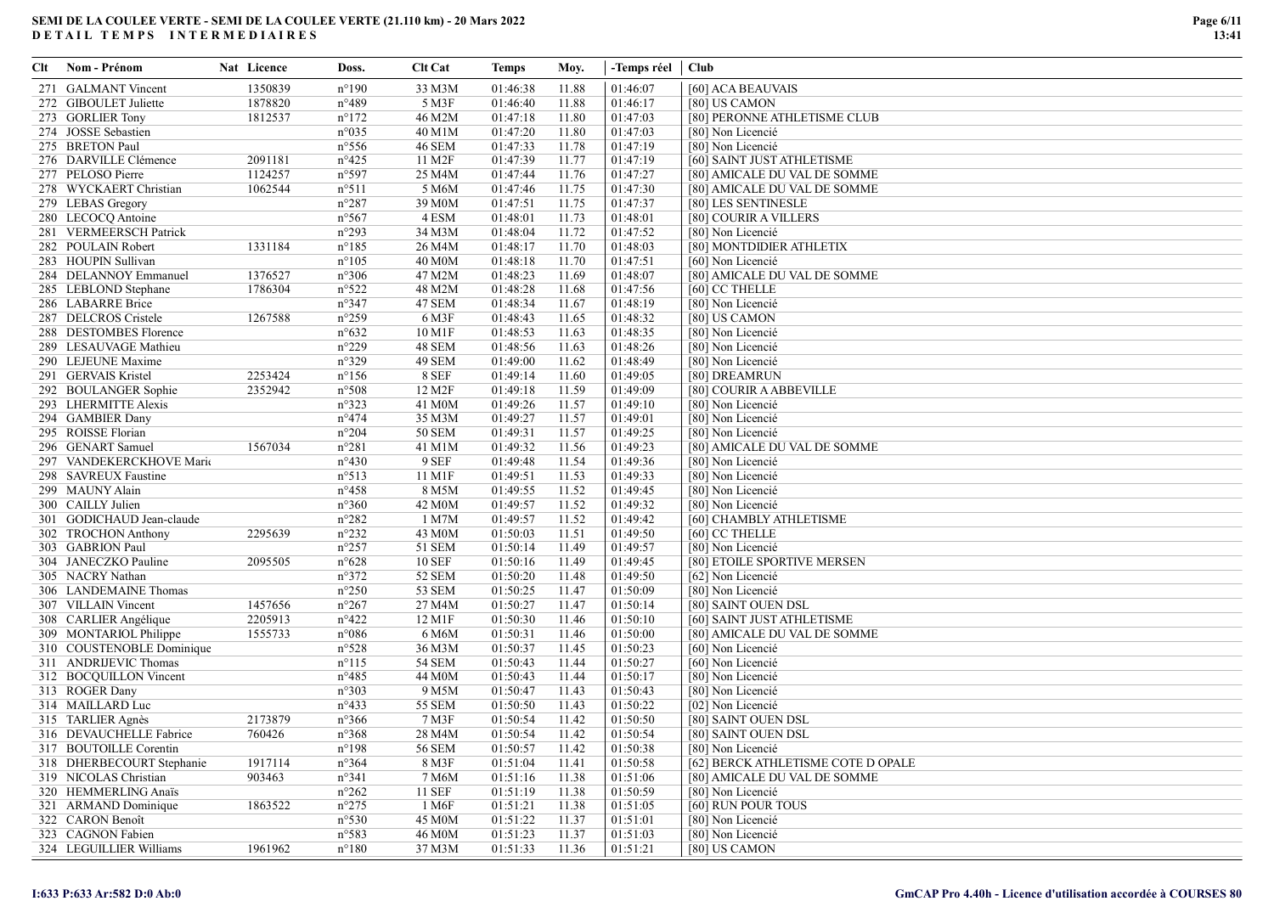| Clt | Nom - Prénom              | Nat Licence | Doss.           | <b>Clt Cat</b> | Temps    | Moy.  | -Temps réel   Club |                                    |
|-----|---------------------------|-------------|-----------------|----------------|----------|-------|--------------------|------------------------------------|
|     | 271 GALMANT Vincent       | 1350839     | $n^{\circ}190$  | 33 M3M         | 01:46:38 | 11.88 | 01:46:07           | [60] ACA BEAUVAIS                  |
|     | 272 GIBOULET Juliette     | 1878820     | $n^{\circ}489$  | 5 M3F          | 01:46:40 | 11.88 | 01:46:17           | [80] US CAMON                      |
|     | 273 GORLIER Tony          | 1812537     | $n^{\circ}172$  | 46 M2M         | 01:47:18 | 11.80 | 01:47:03           | [80] PERONNE ATHLETISME CLUB       |
|     | 274 JOSSE Sebastien       |             | $n^{\circ}035$  | 40 M1M         | 01:47:20 | 11.80 | 01:47:03           | [80] Non Licencié                  |
|     | 275 BRETON Paul           |             | $n^{\circ}$ 556 | <b>46 SEM</b>  | 01:47:33 | 11.78 | 01:47:19           | [80] Non Licencié                  |
|     | 276 DARVILLE Clémence     | 2091181     | $n^{\circ}425$  | 11 M2F         | 01:47:39 | 11.77 | 01:47:19           | [60] SAINT JUST ATHLETISME         |
|     | 277 PELOSO Pierre         | 1124257     | n°597           | 25 M4M         | 01:47:44 | 11.76 | 01:47:27           | [80] AMICALE DU VAL DE SOMME       |
|     | 278 WYCKAERT Christian    | 1062544     | $n^{\circ}511$  | 5 M6M          | 01:47:46 | 11.75 | 01:47:30           | [80] AMICALE DU VAL DE SOMME       |
|     | 279 LEBAS Gregory         |             | $n^{\circ}287$  | 39 M0M         | 01:47:51 | 11.75 | 01:47:37           | [80] LES SENTINESLE                |
|     | 280 LECOCQ Antoine        |             | $n^{\circ}567$  | 4 ESM          | 01:48:01 | 11.73 | 01:48:01           | [80] COURIR A VILLERS              |
|     | 281 VERMEERSCH Patrick    |             | $n^{\circ}293$  | 34 M3M         | 01:48:04 | 11.72 | 01:47:52           | [80] Non Licencié                  |
|     | 282 POULAIN Robert        | 1331184     | $n^{\circ}185$  | 26 M4M         | 01:48:17 | 11.70 | 01:48:03           | [80] MONTDIDIER ATHLETIX           |
|     | 283 HOUPIN Sullivan       |             | $n^{\circ}105$  | 40 M0M         | 01:48:18 | 11.70 | 01:47:51           | [60] Non Licencié                  |
|     | 284 DELANNOY Emmanuel     | 1376527     | $n^{\circ}306$  | 47 M2M         | 01:48:23 | 11.69 | 01:48:07           | [80] AMICALE DU VAL DE SOMME       |
|     | 285 LEBLOND Stephane      | 1786304     | n°522           | 48 M2M         | 01:48:28 | 11.68 | 01:47:56           | [60] CC THELLE                     |
|     | 286 LABARRE Brice         |             | $n^{\circ}347$  | 47 SEM         | 01:48:34 | 11.67 | 01:48:19           | [80] Non Licencié                  |
|     | 287 DELCROS Cristele      | 1267588     | $n^{\circ}259$  | 6 M3F          | 01:48:43 | 11.65 | 01:48:32           | [80] US CAMON                      |
|     | 288 DESTOMBES Florence    |             | $n^{\circ}632$  | 10 M1F         | 01:48:53 | 11.63 | 01:48:35           | [80] Non Licencié                  |
|     | 289 LESAUVAGE Mathieu     |             | $n^{\circ}229$  | 48 SEM         | 01:48:56 | 11.63 | 01:48:26           | [80] Non Licencié                  |
|     | 290 LEJEUNE Maxime        |             | n°329           | 49 SEM         | 01:49:00 | 11.62 | 01:48:49           | [80] Non Licencié                  |
|     | 291 GERVAIS Kristel       | 2253424     | $n^{\circ}156$  | 8 SEF          | 01:49:14 | 11.60 | 01:49:05           | [80] DREAMRUN                      |
|     | 292 BOULANGER Sophie      | 2352942     | n°508           | 12 M2F         | 01:49:18 | 11.59 | 01:49:09           | [80] COURIR A ABBEVILLE            |
|     | 293 LHERMITTE Alexis      |             | $n^{\circ}323$  | 41 M0M         | 01:49:26 | 11.57 | 01:49:10           | [80] Non Licencié                  |
|     | 294 GAMBIER Dany          |             | $n^{\circ}474$  | 35 M3M         | 01:49:27 | 11.57 | 01:49:01           | [80] Non Licencié                  |
|     | 295 ROISSE Florian        |             | $n^{\circ}204$  | <b>50 SEM</b>  | 01:49:31 | 11.57 | 01:49:25           | [80] Non Licencié                  |
|     | 296 GENART Samuel         | 1567034     | $n^{\circ}281$  | 41 M1M         | 01:49:32 | 11.56 | 01:49:23           | [80] AMICALE DU VAL DE SOMME       |
|     | 297 VANDEKERCKHOVE Mario  |             | $n^{\circ}430$  | 9 SEF          | 01:49:48 | 11.54 | 01:49:36           | [80] Non Licencié                  |
|     | 298 SAVREUX Faustine      |             | n°513           | 11 M1F         | 01:49:51 | 11.53 | 01:49:33           | [80] Non Licencié                  |
|     | 299 MAUNY Alain           |             | $n^{\circ}458$  | 8 M5M          | 01:49:55 | 11.52 | 01:49:45           | [80] Non Licencié                  |
|     | 300 CAILLY Julien         |             | $n^{\circ}360$  | 42 M0M         | 01:49:57 | 11.52 | 01:49:32           | [80] Non Licencié                  |
|     | 301 GODICHAUD Jean-claude |             | $n^{\circ}282$  | 1 M7M          | 01:49:57 | 11.52 | 01:49:42           | [60] CHAMBLY ATHLETISME            |
|     | 302 TROCHON Anthony       | 2295639     | $n^{\circ}232$  | 43 M0M         | 01:50:03 | 11.51 | 01:49:50           | [60] CC THELLE                     |
|     | 303 GABRION Paul          |             | $n^{\circ}257$  | 51 SEM         | 01:50:14 | 11.49 | 01:49:57           | [80] Non Licencié                  |
|     | 304 JANECZKO Pauline      | 2095505     | $n^{\circ}628$  | <b>10 SEF</b>  | 01:50:16 | 11.49 | 01:49:45           | [80] ETOILE SPORTIVE MERSEN        |
|     | 305 NACRY Nathan          |             | n°372           | 52 SEM         | 01:50:20 | 11.48 | 01:49:50           | [62] Non Licencié                  |
|     | 306 LANDEMAINE Thomas     |             | $n^{\circ}250$  | 53 SEM         | 01:50:25 | 11.47 | 01:50:09           | [80] Non Licencié                  |
|     | 307 VILLAIN Vincent       | 1457656     | $n^{\circ}267$  | 27 M4M         | 01:50:27 | 11.47 | 01:50:14           | [80] SAINT OUEN DSL                |
|     | 308 CARLIER Angélique     | 2205913     | $n^{\circ}422$  | 12 M1F         | 01:50:30 | 11.46 | 01:50:10           | [60] SAINT JUST ATHLETISME         |
|     | 309 MONTARIOL Philippe    | 1555733     | $n^{\circ}086$  | 6 M6M          | 01:50:31 | 11.46 | 01:50:00           | [80] AMICALE DU VAL DE SOMME       |
|     | 310 COUSTENOBLE Dominique |             | n°528           | 36 M3M         | 01:50:37 | 11.45 | 01:50:23           | [60] Non Licencié                  |
|     | 311 ANDRIJEVIC Thomas     |             | $n^{\circ}115$  | <b>54 SEM</b>  | 01:50:43 | 11.44 | 01:50:27           | [60] Non Licencié                  |
|     | 312 BOCQUILLON Vincent    |             | $n^{\circ}485$  | 44 M0M         | 01:50:43 | 11.44 | 01:50:17           | [80] Non Licencié                  |
|     | 313 ROGER Dany            |             | $n^{\circ}303$  | 9 M5M          | 01:50:47 | 11.43 | 01:50:43           | [80] Non Licencié                  |
|     | 314 MAILLARD Luc          |             | $n^{\circ}433$  | 55 SEM         | 01:50:50 | 11.43 | 01:50:22           | [02] Non Licencié                  |
|     | 315 TARLIER Agnès         | 2173879     | $n^{\circ}366$  | 7 M3F          | 01:50:54 | 11.42 | 01:50:50           | [80] SAINT OUEN DSL                |
|     | 316 DEVAUCHELLE Fabrice   | 760426      | $n^{\circ}368$  | 28 M4M         | 01:50:54 | 11.42 | 01:50:54           | [80] SAINT OUEN DSL                |
|     | 317 BOUTOILLE Corentin    |             | $n^{\circ}198$  | 56 SEM         | 01:50:57 | 11.42 | 01:50:38           | [80] Non Licencié                  |
|     | 318 DHERBECOURT Stephanie | 1917114     | $n^{\circ}364$  | 8 M3F          | 01:51:04 | 11.41 | 01:50:58           | [62] BERCK ATHLETISME COTE D OPALE |
|     | 319 NICOLAS Christian     | 903463      | n°341           | 7 M6M          | 01:51:16 | 11.38 | 01:51:06           | [80] AMICALE DU VAL DE SOMME       |
|     | 320 HEMMERLING Anaïs      |             | $n^{\circ}262$  | 11 SEF         | 01:51:19 | 11.38 | 01:50:59           | [80] Non Licencié                  |
|     | 321 ARMAND Dominique      | 1863522     | $n^{\circ}275$  | 1 M6F          | 01:51:21 | 11.38 | 01:51:05           | [60] RUN POUR TOUS                 |
|     | 322 CARON Benoît          |             | n°530           | 45 M0M         | 01:51:22 | 11.37 | 01:51:01           | [80] Non Licencié                  |
|     | 323 CAGNON Fabien         |             | n°583           | 46 M0M         | 01:51:23 | 11.37 | 01:51:03           | [80] Non Licencié                  |
|     | 324 LEGUILLIER Williams   | 1961962     | $n^{\circ}180$  | 37 M3M         | 01:51:33 | 11.36 | 01:51:21           | [80] US CAMON                      |
|     |                           |             |                 |                |          |       |                    |                                    |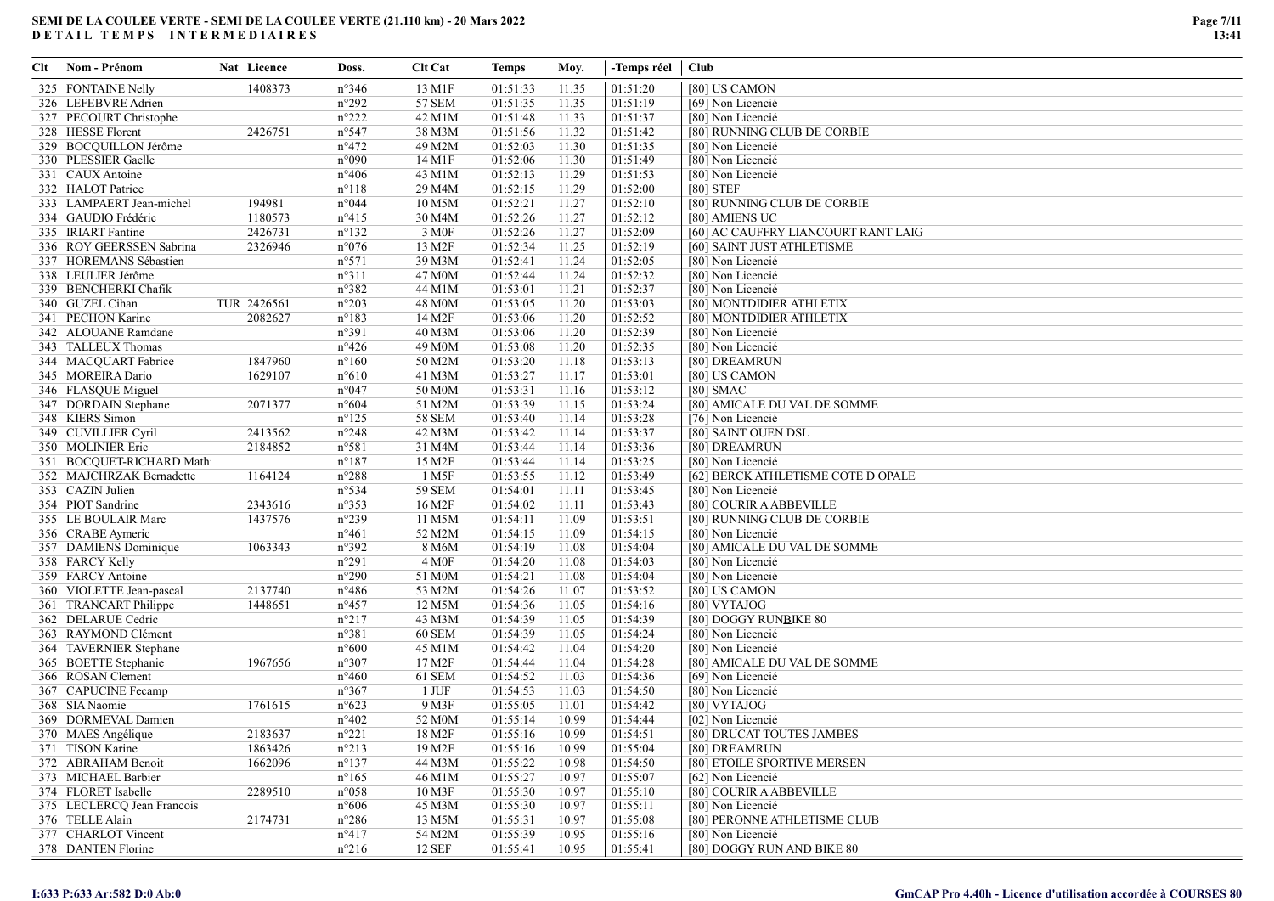| Clt | Nom - Prénom               | Nat Licence | Doss.          | <b>Clt Cat</b>      | Temps    | Moy.  | -Temps réel   Club |                                     |
|-----|----------------------------|-------------|----------------|---------------------|----------|-------|--------------------|-------------------------------------|
|     | 325 FONTAINE Nelly         | 1408373     | $n^{\circ}346$ | 13 M1F              | 01:51:33 | 11.35 | 01:51:20           | [80] US CAMON                       |
|     | 326 LEFEBVRE Adrien        |             | n°292          | 57 SEM              | 01:51:35 | 11.35 | 01:51:19           | [69] Non Licencié                   |
|     | 327 PECOURT Christophe     |             | n°222          | 42 M1M              | 01:51:48 | 11.33 | 01:51:37           | [80] Non Licencié                   |
|     | 328 HESSE Florent          | 2426751     | n°547          | 38 M3M              | 01:51:56 | 11.32 | 01:51:42           | [80] RUNNING CLUB DE CORBIE         |
|     | 329 BOCQUILLON Jérôme      |             | $n^{\circ}472$ | 49 M2M              | 01:52:03 | 11.30 | 01:51:35           | [80] Non Licencié                   |
|     | 330 PLESSIER Gaelle        |             | n°090          | 14 M1F              | 01:52:06 | 11.30 | 01:51:49           | [80] Non Licencié                   |
|     | 331 CAUX Antoine           |             | $n^{\circ}406$ | 43 M1M              | 01:52:13 | 11.29 | 01:51:53           | [80] Non Licencié                   |
|     | 332 HALOT Patrice          |             | $n^{\circ}118$ | 29 M4M              | 01:52:15 | 11.29 | 01:52:00           | [80] STEF                           |
|     | 333 LAMPAERT Jean-michel   | 194981      | n°044          | 10 M5M              | 01:52:21 | 11.27 | 01:52:10           | [80] RUNNING CLUB DE CORBIE         |
|     | 334 GAUDIO Frédéric        | 1180573     | $n^{\circ}415$ | 30 M4M              | 01:52:26 | 11.27 | 01:52:12           | [80] AMIENS UC                      |
|     | 335 IRIART Fantine         | 2426731     | $n^{\circ}132$ | 3 M <sub>OF</sub>   | 01:52:26 | 11.27 | 01:52:09           | [60] AC CAUFFRY LIANCOURT RANT LAIG |
|     | 336 ROY GEERSSEN Sabrina   | 2326946     | $n^{\circ}076$ | 13 M2F              | 01:52:34 | 11.25 | 01:52:19           | [60] SAINT JUST ATHLETISME          |
|     | 337 HOREMANS Sébastien     |             | n°571          | 39 M3M              | 01:52:41 | 11.24 | 01:52:05           | [80] Non Licencié                   |
|     | 338 LEULIER Jérôme         |             | n°311          | 47 M0M              | 01:52:44 | 11.24 | 01:52:32           | [80] Non Licencié                   |
|     | 339 BENCHERKI Chafik       |             | n°382          | 44 M1M              | 01:53:01 | 11.21 | 01:52:37           | [80] Non Licencié                   |
|     | 340 GUZEL Cihan            | TUR 2426561 | $n^{\circ}203$ | 48 M0M              | 01:53:05 | 11.20 | 01:53:03           | [80] MONTDIDIER ATHLETIX            |
|     | 341 PECHON Karine          | 2082627     | $n^{\circ}183$ | 14 M2F              | 01:53:06 | 11.20 | 01:52:52           | [80] MONTDIDIER ATHLETIX            |
|     | 342 ALOUANE Ramdane        |             | n°391          | 40 M3M              | 01:53:06 | 11.20 | 01:52:39           | [80] Non Licencié                   |
|     | 343 TALLEUX Thomas         |             | $n^{\circ}426$ | 49 M <sub>0</sub> M | 01:53:08 | 11.20 | 01:52:35           | [80] Non Licencié                   |
|     | 344 MACQUART Fabrice       | 1847960     | $n^{\circ}160$ | 50 M2M              | 01:53:20 | 11.18 | 01:53:13           | [80] DREAMRUN                       |
|     | 345 MOREIRA Dario          | 1629107     | $n^{\circ}610$ | 41 M3M              | 01:53:27 | 11.17 | 01:53:01           | [80] US CAMON                       |
|     | 346 FLASQUE Miguel         |             | n°047          | 50 M0M              | 01:53:31 | 11.16 | 01:53:12           | $[80]$ SMAC                         |
|     | 347 DORDAIN Stephane       | 2071377     | $n^{\circ}604$ | 51 M2M              | 01:53:39 | 11.15 | 01:53:24           | [80] AMICALE DU VAL DE SOMME        |
|     | 348 KIERS Simon            |             | $n^{\circ}125$ | <b>58 SEM</b>       | 01:53:40 | 11.14 | 01:53:28           | [76] Non Licencié                   |
|     | 349 CUVILLIER Cyril        | 2413562     | n°248          | 42 M3M              | 01:53:42 | 11.14 | 01:53:37           | [80] SAINT OUEN DSL                 |
|     | 350 MOLINIER Eric          | 2184852     | n°581          | 31 M4M              | 01:53:44 | 11.14 | 01:53:36           | [80] DREAMRUN                       |
|     | 351 BOCQUET-RICHARD Math   |             | $n^{\circ}187$ | 15 M2F              | 01:53:44 | 11.14 | 01:53:25           | [80] Non Licencié                   |
|     | 352 MAJCHRZAK Bernadette   | 1164124     | n°288          | 1 M5F               | 01:53:55 | 11.12 | 01:53:49           | [62] BERCK ATHLETISME COTE D OPALE  |
|     | 353 CAZIN Julien           |             | n°534          | 59 SEM              | 01:54:01 | 11.11 | 01:53:45           | [80] Non Licencié                   |
|     | 354 PIOT Sandrine          | 2343616     | $n^{\circ}353$ | 16 M2F              | 01:54:02 | 11.11 | 01:53:43           | [80] COURIR A ABBEVILLE             |
|     | 355 LE BOULAIR Marc        | 1437576     | n°239          | 11 M5M              | 01:54:11 | 11.09 | 01:53:51           | [80] RUNNING CLUB DE CORBIE         |
|     | 356 CRABE Aymeric          |             | $n^{\circ}461$ | 52 M2M              | 01:54:15 | 11.09 | 01:54:15           | [80] Non Licencié                   |
|     | 357 DAMIENS Dominique      | 1063343     | n°392          | 8 M6M               | 01:54:19 | 11.08 | 01:54:04           | [80] AMICALE DU VAL DE SOMME        |
|     | 358 FARCY Kelly            |             | n°291          | 4 M <sub>OF</sub>   | 01:54:20 | 11.08 | 01:54:03           | [80] Non Licencié                   |
|     | 359 FARCY Antoine          |             | n°290          | 51 M0M              | 01:54:21 | 11.08 | 01:54:04           | [80] Non Licencié                   |
|     | 360 VIOLETTE Jean-pascal   | 2137740     | $n^{\circ}486$ | 53 M2M              | 01:54:26 | 11.07 | 01:53:52           | [80] US CAMON                       |
|     | 361 TRANCART Philippe      | 1448651     | $n^{\circ}457$ | 12 M5M              | 01:54:36 | 11.05 | 01:54:16           | [80] VYTAJOG                        |
|     | 362 DELARUE Cedric         |             | n°217          | 43 M3M              | 01:54:39 | 11.05 | 01:54:39           | [80] DOGGY RUNBIKE 80               |
|     | 363 RAYMOND Clément        |             | n°381          | <b>60 SEM</b>       | 01:54:39 | 11.05 | 01:54:24           | [80] Non Licencié                   |
|     | 364 TAVERNIER Stephane     |             | $n^{\circ}600$ | 45 M1M              | 01:54:42 | 11.04 | 01:54:20           | [80] Non Licencié                   |
|     | 365 BOETTE Stephanie       | 1967656     | n°307          | 17 M2F              | 01:54:44 | 11.04 | 01:54:28           | [80] AMICALE DU VAL DE SOMME        |
|     | 366 ROSAN Clement          |             | $n^{\circ}460$ | 61 SEM              | 01:54:52 | 11.03 | 01:54:36           | [69] Non Licencié                   |
|     | 367 CAPUCINE Fecamp        |             | $n^{\circ}367$ | 1 JUF               | 01:54:53 | 11.03 | 01:54:50           | [80] Non Licencié                   |
|     | 368 SIA Naomie             | 1761615     | $n^{\circ}623$ | 9 M3F               | 01:55:05 | 11.01 | 01:54:42           | [80] VYTAJOG                        |
|     | 369 DORMEVAL Damien        |             | $n^{\circ}402$ | 52 M0M              | 01:55:14 | 10.99 | 01:54:44           | [02] Non Licencié                   |
|     | 370 MAES Angélique         | 2183637     | $n^{\circ}221$ | 18 M2F              | 01:55:16 | 10.99 | 01:54:51           | [80] DRUCAT TOUTES JAMBES           |
|     | 371 TISON Karine           | 1863426     | $n^{\circ}213$ | 19 M2F              | 01:55:16 | 10.99 | 01:55:04           | [80] DREAMRUN                       |
|     | 372 ABRAHAM Benoit         | 1662096     | $n^{\circ}137$ | 44 M3M              | 01:55:22 | 10.98 | 01:54:50           | [80] ETOILE SPORTIVE MERSEN         |
|     | 373 MICHAEL Barbier        |             | $n^{\circ}165$ | 46 M1M              | 01:55:27 | 10.97 | 01:55:07           | [62] Non Licencié                   |
|     | 374 FLORET Isabelle        | 2289510     | $n^{\circ}058$ | 10 M3F              | 01:55:30 | 10.97 | 01:55:10           | [80] COURIR A ABBEVILLE             |
|     | 375 LECLERCQ Jean Francois |             | $n^{\circ}606$ | 45 M3M              | 01:55:30 | 10.97 | 01:55:11           | [80] Non Licencié                   |
|     | 376 TELLE Alain            | 2174731     | $n^{\circ}286$ | 13 M5M              | 01:55:31 | 10.97 | 01:55:08           | [80] PERONNE ATHLETISME CLUB        |
|     | 377 CHARLOT Vincent        |             | $n^{\circ}417$ | 54 M2M              | 01:55:39 | 10.95 | 01:55:16           | [80] Non Licencié                   |
|     | 378 DANTEN Florine         |             | $n^{\circ}216$ | 12 SEF              | 01:55:41 | 10.95 | 01:55:41           | [80] DOGGY RUN AND BIKE 80          |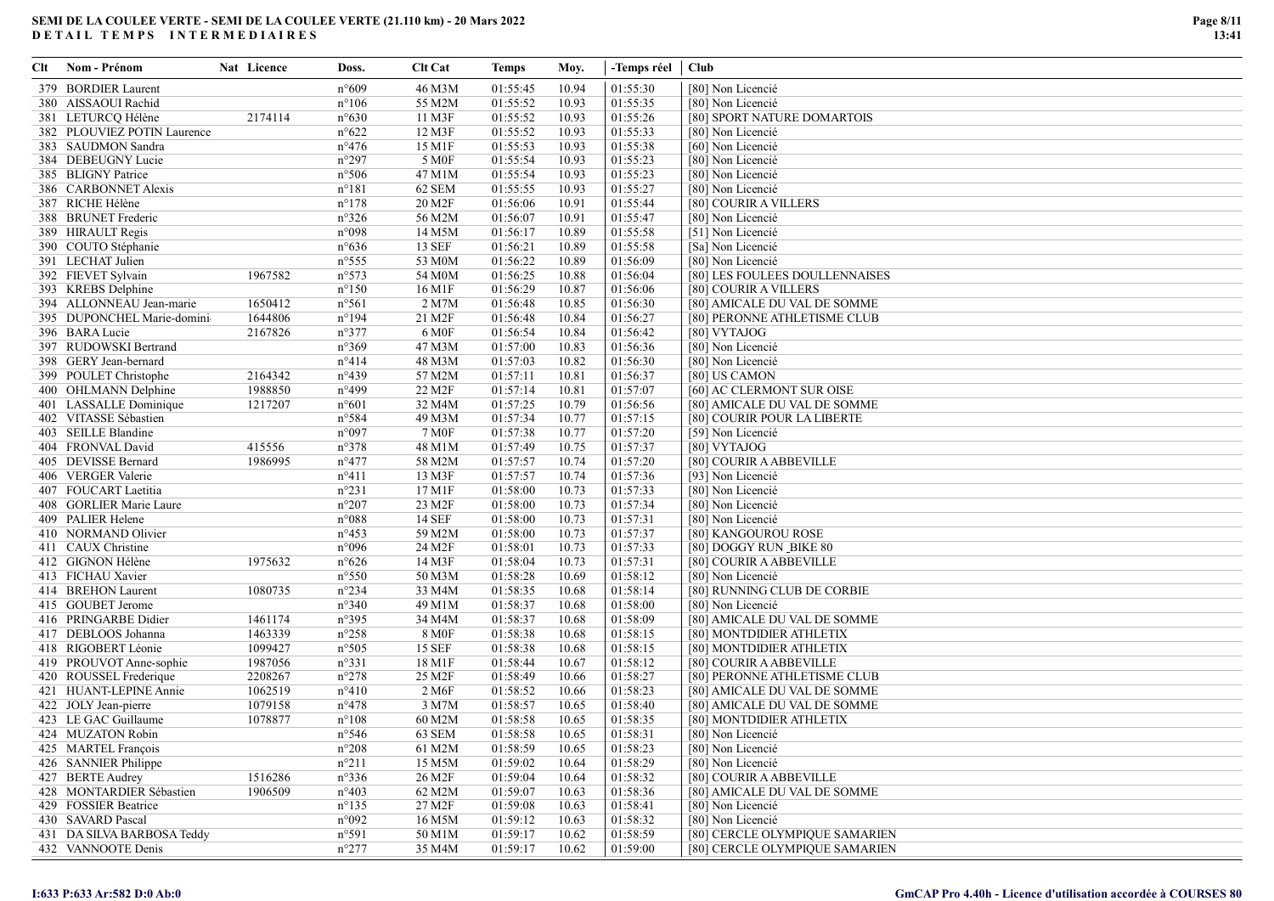| Clt | Nom - Prénom                | Nat Licence | Doss.           | <b>Clt Cat</b>      | Temps    | Moy.  | -Temps réel   Club |                                |
|-----|-----------------------------|-------------|-----------------|---------------------|----------|-------|--------------------|--------------------------------|
|     | 379 BORDIER Laurent         |             | $n^{\circ}609$  | 46 M3M              | 01:55:45 | 10.94 | 01:55:30           | [80] Non Licencié              |
|     | 380 AISSAOUI Rachid         |             | $n^{\circ}106$  | 55 M2M              | 01:55:52 | 10.93 | 01:55:35           | [80] Non Licencié              |
|     | 381 LETURCQ Hélène          | 2174114     | $n^{\circ}630$  | 11 M3F              | 01:55:52 | 10.93 | 01:55:26           | [80] SPORT NATURE DOMARTOIS    |
|     | 382 PLOUVIEZ POTIN Laurence |             | $n^{\circ}622$  | 12 M3F              | 01:55:52 | 10.93 | 01:55:33           | [80] Non Licencié              |
|     | 383 SAUDMON Sandra          |             | $n^{\circ}476$  | 15 M1F              | 01:55:53 | 10.93 | 01:55:38           | [60] Non Licencié              |
|     | 384 DEBEUGNY Lucie          |             | n°297           | 5 M <sub>OF</sub>   | 01:55:54 | 10.93 | 01:55:23           | [80] Non Licencié              |
|     | 385 BLIGNY Patrice          |             | n°506           | 47 M1M              | 01:55:54 | 10.93 | 01:55:23           | [80] Non Licencié              |
|     | 386 CARBONNET Alexis        |             | $n^{\circ}181$  | 62 SEM              | 01:55:55 | 10.93 | 01:55:27           | [80] Non Licencié              |
|     | 387 RICHE Hélène            |             | $n^{\circ}178$  | 20 M2F              | 01:56:06 | 10.91 | 01:55:44           | [80] COURIR A VILLERS          |
|     | 388 BRUNET Frederic         |             | n°326           | 56 M2M              | 01:56:07 | 10.91 | 01:55:47           | [80] Non Licencié              |
|     | 389 HIRAULT Regis           |             | n°098           | 14 M5M              | 01:56:17 | 10.89 | 01:55:58           | [51] Non Licencié              |
|     | 390 COUTO Stéphanie         |             | $n^{\circ}636$  | 13 SEF              | 01:56:21 | 10.89 | 01:55:58           | [Sa] Non Licencié              |
|     | 391 LECHAT Julien           |             | $n^{\circ}$ 555 | 53 M0M              | 01:56:22 | 10.89 | 01:56:09           | [80] Non Licencié              |
|     | 392 FIEVET Sylvain          | 1967582     | n°573           | 54 M <sub>0</sub> M | 01:56:25 | 10.88 | 01:56:04           | [80] LES FOULEES DOULLENNAISES |
|     | 393 KREBS Delphine          |             | $n^{\circ}150$  | 16 M1F              | 01:56:29 | 10.87 | 01:56:06           | [80] COURIR A VILLERS          |
|     | 394 ALLONNEAU Jean-marie    | 1650412     | n°561           | 2 M7M               | 01:56:48 | 10.85 | 01:56:30           | [80] AMICALE DU VAL DE SOMME   |
|     | 395 DUPONCHEL Marie-domini  | 1644806     | $n^{\circ}194$  | 21 M2F              | 01:56:48 | 10.84 | 01:56:27           | [80] PERONNE ATHLETISME CLUB   |
|     | 396 BARA Lucie              | 2167826     | n°377           | 6 M0F               | 01:56:54 | 10.84 | 01:56:42           | [80] VYTAJOG                   |
|     | 397 RUDOWSKI Bertrand       |             | n°369           | 47 M3M              | 01:57:00 | 10.83 | 01:56:36           | [80] Non Licencié              |
|     | 398 GERY Jean-bernard       |             | n°414           | 48 M3M              | 01:57:03 | 10.82 | 01:56:30           | [80] Non Licencié              |
|     | 399 POULET Christophe       | 2164342     | $n^{\circ}439$  | 57 M2M              | 01:57:11 | 10.81 | 01:56:37           | [80] US CAMON                  |
|     | 400 OHLMANN Delphine        | 1988850     | n°499           | 22 M2F              | 01:57:14 | 10.81 | 01:57:07           | [60] AC CLERMONT SUR OISE      |
|     | 401 LASSALLE Dominique      | 1217207     | $n^{\circ}601$  | 32 M4M              | 01:57:25 | 10.79 | 01:56:56           | [80] AMICALE DU VAL DE SOMME   |
|     | 402 VITASSE Sébastien       |             | n°584           | 49 M3M              | 01:57:34 | 10.77 | 01:57:15           | [80] COURIR POUR LA LIBERTE    |
|     | 403 SEILLE Blandine         |             | n°097           | 7 M0F               | 01:57:38 | 10.77 | 01:57:20           | [59] Non Licencié              |
|     | 404 FRONVAL David           | 415556      | n°378           | 48 M1M              | 01:57:49 | 10.75 | 01:57:37           | [80] VYTAJOG                   |
|     | 405 DEVISSE Bernard         | 1986995     | $n^{\circ}477$  | 58 M2M              | 01:57:57 | 10.74 | 01:57:20           | [80] COURIR A ABBEVILLE        |
|     | 406 VERGER Valerie          |             | $n^{\circ}411$  | 13 M3F              | 01:57:57 | 10.74 | 01:57:36           | [93] Non Licencié              |
|     | 407 FOUCART Laetitia        |             | n°231           | 17 M1F              | 01:58:00 | 10.73 | 01:57:33           | [80] Non Licencié              |
|     | 408 GORLIER Marie Laure     |             | $n^{\circ}207$  | 23 M2F              | 01:58:00 | 10.73 | 01:57:34           | [80] Non Licencié              |
|     | 409 PALIER Helene           |             | n°088           | 14 SEF              | 01:58:00 | 10.73 | 01:57:31           | [80] Non Licencié              |
|     | 410 NORMAND Olivier         |             | $n^{\circ}453$  | 59 M2M              | 01:58:00 | 10.73 | 01:57:37           | [80] KANGOUROU ROSE            |
|     | 411 CAUX Christine          |             | n°096           | 24 M2F              | 01:58:01 | 10.73 | 01:57:33           | [80] DOGGY RUN_BIKE 80         |
|     | 412 GIGNON Hélène           | 1975632     | $n^{\circ}626$  | 14 M3F              | 01:58:04 | 10.73 | 01:57:31           | [80] COURIR A ABBEVILLE        |
|     | 413 FICHAU Xavier           |             | n°550           | 50 M3M              | 01:58:28 | 10.69 | 01:58:12           | [80] Non Licencié              |
|     | 414 BREHON Laurent          | 1080735     | $n^{\circ}234$  | 33 M4M              | 01:58:35 | 10.68 | 01:58:14           | [80] RUNNING CLUB DE CORBIE    |
|     | 415 GOUBET Jerome           |             | n°340           | 49 M1M              | 01:58:37 | 10.68 | 01:58:00           | [80] Non Licencié              |
|     | 416 PRINGARBE Didier        | 1461174     | n°395           | 34 M4M              | 01:58:37 | 10.68 | 01:58:09           | [80] AMICALE DU VAL DE SOMME   |
|     | 417 DEBLOOS Johanna         | 1463339     | n°258           | 8 M0F               | 01:58:38 | 10.68 | 01:58:15           | [80] MONTDIDIER ATHLETIX       |
|     | 418 RIGOBERT Léonie         | 1099427     | n°505           | 15 SEF              | 01:58:38 | 10.68 | 01:58:15           | [80] MONTDIDIER ATHLETIX       |
|     | 419 PROUVOT Anne-sophie     | 1987056     | n°331           | 18 M1F              | 01:58:44 | 10.67 | 01:58:12           | [80] COURIR A ABBEVILLE        |
|     | 420 ROUSSEL Frederique      | 2208267     | $n^{\circ}278$  | 25 M2F              | 01:58:49 | 10.66 | 01:58:27           | [80] PERONNE ATHLETISME CLUB   |
|     | 421 HUANT-LEPINE Annie      | 1062519     | $n^{\circ}410$  | 2 M6F               | 01:58:52 | 10.66 | 01:58:23           | [80] AMICALE DU VAL DE SOMME   |
|     | 422 JOLY Jean-pierre        | 1079158     | $n^{\circ}478$  | 3 M7M               | 01:58:57 | 10.65 | 01:58:40           | [80] AMICALE DU VAL DE SOMME   |
|     | 423 LE GAC Guillaume        | 1078877     | $n^{\circ}108$  | 60 M2M              | 01:58:58 | 10.65 | 01:58:35           | [80] MONTDIDIER ATHLETIX       |
|     | 424 MUZATON Robin           |             | $n^{\circ}$ 546 | 63 SEM              | 01:58:58 | 10.65 | 01:58:31           | [80] Non Licencié              |
|     | 425 MARTEL François         |             | $n^{\circ}208$  | 61 M2M              | 01:58:59 | 10.65 | 01:58:23           | [80] Non Licencié              |
|     | 426 SANNIER Philippe        |             | $n^{\circ}211$  | 15 M5M              | 01:59:02 | 10.64 | 01:58:29           | [80] Non Licencié              |
|     | 427 BERTE Audrey            | 1516286     | $n^{\circ}336$  | 26 M2F              | 01:59:04 | 10.64 | 01:58:32           | [80] COURIR A ABBEVILLE        |
|     | 428 MONTARDIER Sébastien    | 1906509     | $n^{\circ}403$  | 62 M2M              | 01:59:07 | 10.63 | 01:58:36           | [80] AMICALE DU VAL DE SOMME   |
|     | 429 FOSSIER Beatrice        |             | $n^{\circ}135$  | 27 M2F              | 01:59:08 | 10.63 | 01:58:41           | [80] Non Licencié              |
|     | 430 SAVARD Pascal           |             | n°092           | 16 M5M              | 01:59:12 | 10.63 | 01:58:32           | [80] Non Licencié              |
|     | 431 DA SILVA BARBOSA Teddy  |             | n°591           | 50 M1M              | 01:59:17 | 10.62 | 01:58:59           | [80] CERCLE OLYMPIQUE SAMARIEN |
|     | 432 VANNOOTE Denis          |             | $n^{\circ}277$  | 35 M4M              | 01:59:17 | 10.62 | 01:59:00           | [80] CERCLE OLYMPIQUE SAMARIEN |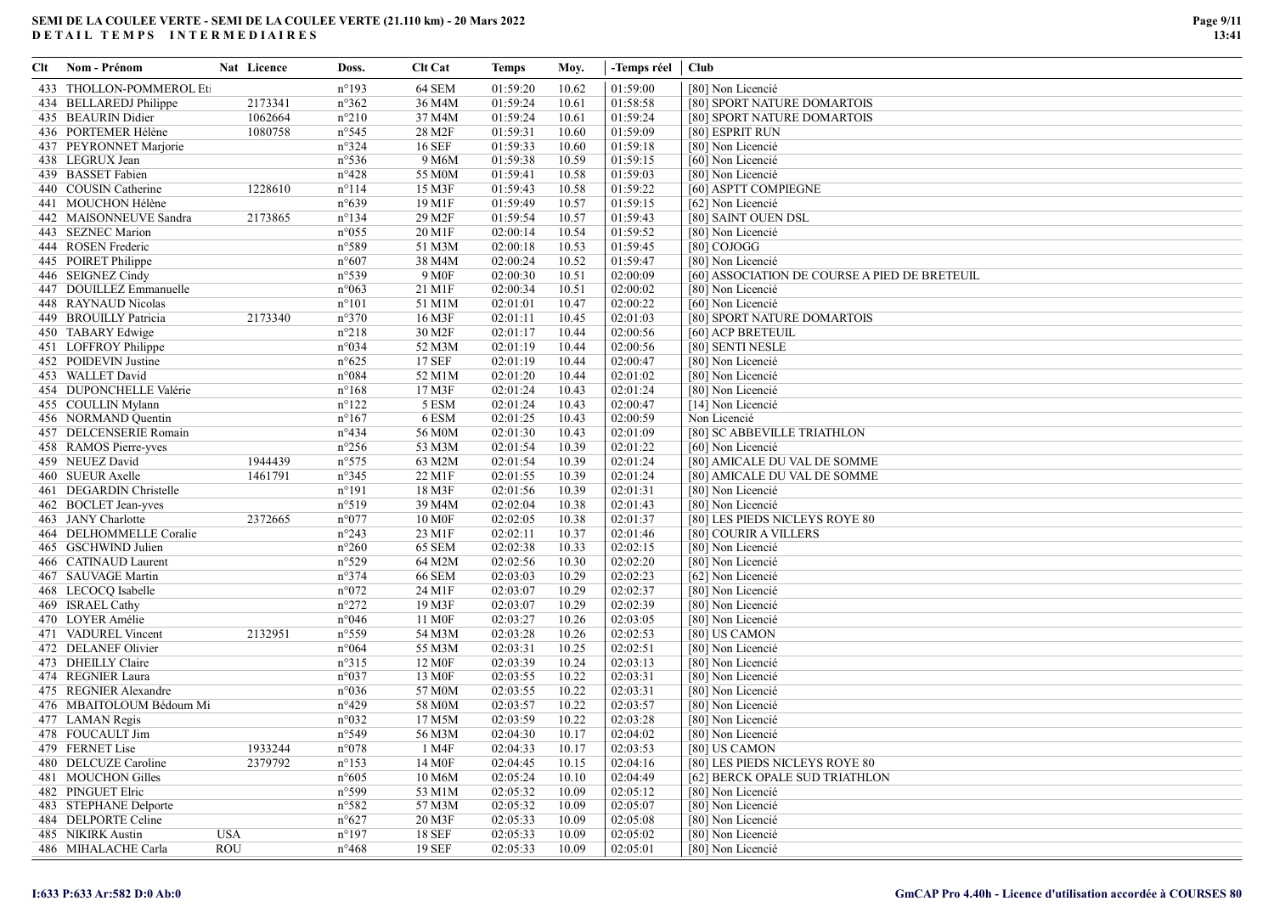| Clt | Nom - Prénom             |            | Nat Licence | Doss.           | <b>Clt Cat</b>     | Temps    | Moy.  | -Temps réel   Club |                                               |
|-----|--------------------------|------------|-------------|-----------------|--------------------|----------|-------|--------------------|-----------------------------------------------|
|     | 433 THOLLON-POMMEROL Eti |            |             | $n^{\circ}193$  | 64 SEM             | 01:59:20 | 10.62 | 01:59:00           | [80] Non Licencié                             |
|     | 434 BELLAREDJ Philippe   |            | 2173341     | $n^{\circ}362$  | 36 M4M             | 01:59:24 | 10.61 | 01:58:58           | [80] SPORT NATURE DOMARTOIS                   |
|     | 435 BEAURIN Didier       |            | 1062664     | $n^{\circ}210$  | 37 M4M             | 01:59:24 | 10.61 | 01:59:24           | [80] SPORT NATURE DOMARTOIS                   |
|     | 436 PORTEMER Hélène      |            | 1080758     | $n^{\circ}545$  | 28 M2F             | 01:59:31 | 10.60 | 01:59:09           | [80] ESPRIT RUN                               |
|     | 437 PEYRONNET Marjorie   |            |             | $n^{\circ}324$  | 16 SEF             | 01:59:33 | 10.60 | 01:59:18           | [80] Non Licencié                             |
|     | 438 LEGRUX Jean          |            |             | $n^{\circ}$ 536 | 9 M6M              | 01:59:38 | 10.59 | 01:59:15           | [60] Non Licencié                             |
|     | 439 BASSET Fabien        |            |             | $n^{\circ}428$  | 55 M0M             | 01:59:41 | 10.58 | 01:59:03           | [80] Non Licencié                             |
|     | 440 COUSIN Catherine     |            | 1228610     | $n^{\circ}114$  | 15 M3F             | 01:59:43 | 10.58 | 01:59:22           | [60] ASPTT COMPIEGNE                          |
|     | 441 MOUCHON Hélène       |            |             | $n^{\circ}639$  | 19 M1F             | 01:59:49 | 10.57 | 01:59:15           | [62] Non Licencié                             |
|     | 442 MAISONNEUVE Sandra   |            | 2173865     | $n^{\circ}$ 134 | 29 M2F             | 01:59:54 | 10.57 | 01:59:43           | [80] SAINT OUEN DSL                           |
|     | 443 SEZNEC Marion        |            |             | $n^{\circ}055$  | 20 M1F             | 02:00:14 | 10.54 | 01:59:52           | [80] Non Licencié                             |
|     | 444 ROSEN Frederic       |            |             | n°589           | 51 M3M             | 02:00:18 | 10.53 | 01:59:45           | [80] COJOGG                                   |
|     | 445 POIRET Philippe      |            |             | $n^{\circ}607$  | 38 M4M             | 02:00:24 | 10.52 | 01:59:47           | [80] Non Licencié                             |
|     | 446 SEIGNEZ Cindy        |            |             | n°539           | 9 M <sub>OF</sub>  | 02:00:30 | 10.51 | 02:00:09           | [60] ASSOCIATION DE COURSE A PIED DE BRETEUIL |
|     | 447 DOUILLEZ Emmanuelle  |            |             | n°063           | 21 M1F             | 02:00:34 | 10.51 | 02:00:02           | [80] Non Licencié                             |
|     | 448 RAYNAUD Nicolas      |            |             | $n^{\circ}101$  | 51 M1M             | 02:01:01 | 10.47 | 02:00:22           | [60] Non Licencié                             |
|     | 449 BROUILLY Patricia    |            | 2173340     | $n^{\circ}370$  | 16 M3F             | 02:01:11 | 10.45 | 02:01:03           | [80] SPORT NATURE DOMARTOIS                   |
|     | 450 TABARY Edwige        |            |             | $n^{\circ}218$  | 30 M2F             | 02:01:17 | 10.44 | 02:00:56           | [60] ACP BRETEUIL                             |
|     | 451 LOFFROY Philippe     |            |             | n°034           | 52 M3M             | 02:01:19 | 10.44 | 02:00:56           | [80] SENTI NESLE                              |
|     | 452 POIDEVIN Justine     |            |             | $n^{\circ}625$  | 17 SEF             | 02:01:19 | 10.44 | 02:00:47           | [80] Non Licencié                             |
|     | 453 WALLET David         |            |             | n°084           | 52 M1M             | 02:01:20 | 10.44 | 02:01:02           | [80] Non Licencié                             |
|     | 454 DUPONCHELLE Valérie  |            |             | $n^{\circ}168$  | 17 M3F             | 02:01:24 | 10.43 | 02:01:24           | [80] Non Licencié                             |
|     | 455 COULLIN Mylann       |            |             | $n^{\circ}122$  | 5 ESM              | 02:01:24 | 10.43 | 02:00:47           | [14] Non Licencié                             |
|     | 456 NORMAND Quentin      |            |             | $n^{\circ}167$  | 6 ESM              | 02:01:25 | 10.43 | 02:00:59           | Non Licencié                                  |
|     | 457 DELCENSERIE Romain   |            |             | $n^{\circ}434$  | 56 M0M             | 02:01:30 | 10.43 | 02:01:09           | [80] SC ABBEVILLE TRIATHLON                   |
|     | 458 RAMOS Pierre-yves    |            |             | $n^{\circ}256$  | 53 M3M             | 02:01:54 | 10.39 | 02:01:22           | [60] Non Licencié                             |
|     | 459 NEUEZ David          |            | 1944439     | $n^{\circ}575$  | 63 M2M             | 02:01:54 | 10.39 | 02:01:24           | [80] AMICALE DU VAL DE SOMME                  |
|     | 460 SUEUR Axelle         |            | 1461791     | $n^{\circ}345$  | 22 M1F             | 02:01:55 | 10.39 | 02:01:24           | [80] AMICALE DU VAL DE SOMME                  |
|     | 461 DEGARDIN Christelle  |            |             | $n^{\circ}191$  | 18 M3F             | 02:01:56 | 10.39 | 02:01:31           | [80] Non Licencié                             |
|     | 462 BOCLET Jean-yves     |            |             | n°519           | 39 M4M             | 02:02:04 | 10.38 | 02:01:43           | [80] Non Licencié                             |
|     | 463 JANY Charlotte       |            | 2372665     | n°077           | 10 M <sub>OF</sub> | 02:02:05 | 10.38 | 02:01:37           | [80] LES PIEDS NICLEYS ROYE 80                |
|     | 464 DELHOMMELLE Coralie  |            |             | $n^{\circ}243$  | 23 M1F             | 02:02:11 | 10.37 | 02:01:46           | [80] COURIR A VILLERS                         |
|     | 465 GSCHWIND Julien      |            |             | $n^{\circ}260$  | 65 SEM             | 02:02:38 | 10.33 | 02:02:15           | [80] Non Licencié                             |
|     | 466 CATINAUD Laurent     |            |             | n°529           | 64 M2M             | 02:02:56 | 10.30 | 02:02:20           | [80] Non Licencié                             |
|     | 467 SAUVAGE Martin       |            |             | $n^{\circ}374$  | <b>66 SEM</b>      | 02:03:03 | 10.29 | 02:02:23           | [62] Non Licencié                             |
|     | 468 LECOCQ Isabelle      |            |             | $n^{\circ}072$  | 24 M1F             | 02:03:07 | 10.29 | 02:02:37           | [80] Non Licencié                             |
|     | 469 ISRAEL Cathy         |            |             | $n^{\circ}272$  | 19 M3F             | 02:03:07 | 10.29 | 02:02:39           | [80] Non Licencié                             |
|     | 470 LOYER Amélie         |            |             | n°046           | 11 M <sub>OF</sub> | 02:03:27 | 10.26 | 02:03:05           | [80] Non Licencié                             |
|     | 471 VADUREL Vincent      |            | 2132951     | n°559           | 54 M3M             | 02:03:28 | 10.26 | 02:02:53           | [80] US CAMON                                 |
|     | 472 DELANEF Olivier      |            |             | n°064           | 55 M3M             | 02:03:31 | 10.25 | 02:02:51           | [80] Non Licencié                             |
|     | 473 DHEILLY Claire       |            |             | $n^{\circ}315$  | 12 M <sub>OF</sub> | 02:03:39 | 10.24 | 02:03:13           | [80] Non Licencié                             |
|     | 474 REGNIER Laura        |            |             | $n^{\circ}037$  | 13 M <sub>OF</sub> | 02:03:55 | 10.22 | 02:03:31           | [80] Non Licencié                             |
|     | 475 REGNIER Alexandre    |            |             | $n^{\circ}036$  | 57 M0M             | 02:03:55 | 10.22 | 02:03:31           | [80] Non Licencié                             |
|     | 476 MBAITOLOUM Bédoum Mi |            |             | $n^{\circ}429$  | 58 M0M             | 02:03:57 | 10.22 | 02:03:57           | [80] Non Licencié                             |
|     | 477 LAMAN Regis          |            |             | n°032           | 17 M5M             | 02:03:59 | 10.22 | 02:03:28           | [80] Non Licencié                             |
|     | 478 FOUCAULT Jim         |            |             | n°549           | 56 M3M             | 02:04:30 | 10.17 | 02:04:02           | [80] Non Licencié                             |
|     | 479 FERNET Lise          |            | 1933244     | $n^{\circ}078$  | 1 M4F              | 02:04:33 | 10.17 | 02:03:53           | [80] US CAMON                                 |
|     | 480 DELCUZE Caroline     |            | 2379792     | $n^{\circ}153$  | 14 M <sub>OF</sub> | 02:04:45 | 10.15 | 02:04:16           | [80] LES PIEDS NICLEYS ROYE 80                |
|     | 481 MOUCHON Gilles       |            |             | $n^{\circ}605$  | 10 M6M             | 02:05:24 | 10.10 | 02:04:49           | [62] BERCK OPALE SUD TRIATHLON                |
|     | 482 PINGUET Elric        |            |             | n°599           | 53 M1M             | 02:05:32 | 10.09 | 02:05:12           | [80] Non Licencié                             |
|     | 483 STEPHANE Delporte    |            |             | n°582           | 57 M3M             | 02:05:32 | 10.09 | 02:05:07           | [80] Non Licencié                             |
|     | 484 DELPORTE Celine      |            |             | $n^{\circ}627$  | 20 M3F             | 02:05:33 | 10.09 | 02:05:08           | [80] Non Licencié                             |
|     | 485 NIKIRK Austin        | <b>USA</b> |             | $n^{\circ}197$  | 18 SEF             | 02:05:33 | 10.09 | 02:05:02           | [80] Non Licencié                             |
|     | 486 MIHALACHE Carla      | <b>ROU</b> |             | $n^{\circ}468$  | 19 SEF             | 02:05:33 | 10.09 | 02:05:01           | [80] Non Licencié                             |
|     |                          |            |             |                 |                    |          |       |                    |                                               |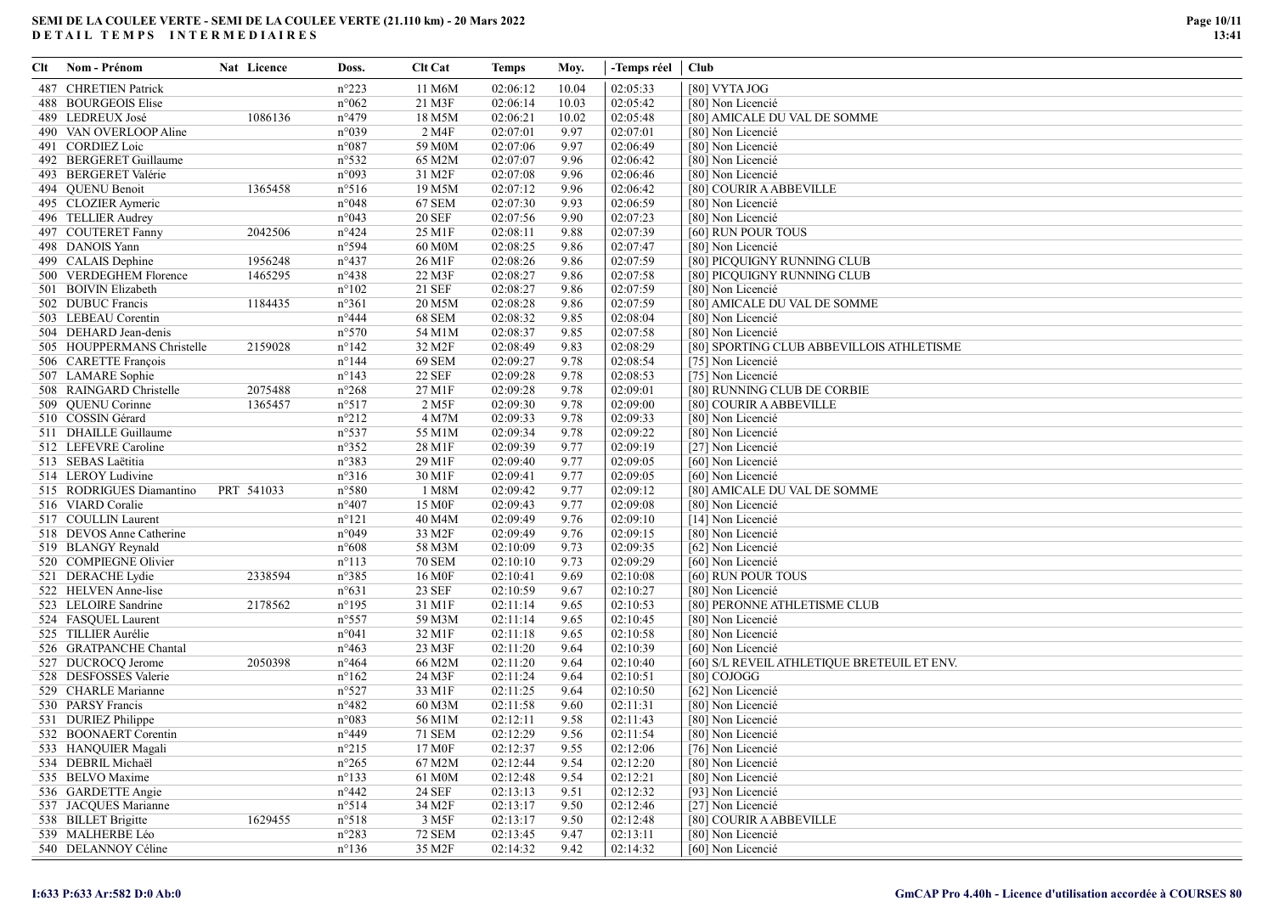| Clt | Nom - Prénom               | Nat Licence | Doss.           | Clt Cat            | <b>Temps</b> | Moy.         | -Temps réel   Club |                                             |
|-----|----------------------------|-------------|-----------------|--------------------|--------------|--------------|--------------------|---------------------------------------------|
|     | 487 CHRETIEN Patrick       |             | $n^{\circ}223$  | 11 M6M             | 02:06:12     | 10.04        | 02:05:33           | [80] VYTA JOG                               |
|     | 488 BOURGEOIS Elise        |             | $n^{\circ}062$  | 21 M3F             | 02:06:14     | 10.03        | 02:05:42           | [80] Non Licencié                           |
|     | 489 LEDREUX José           | 1086136     | $n^{\circ}479$  | 18 M5M             | 02:06:21     | 10.02        | 02:05:48           | [80] AMICALE DU VAL DE SOMME                |
|     | 490 VAN OVERLOOP Aline     |             | n°039           | 2 M4F              | 02:07:01     | 9.97         | 02:07:01           | [80] Non Licencié                           |
|     | 491 CORDIEZ Loic           |             | $n^{\circ}087$  | 59 M0M             | 02:07:06     | 9.97         | 02:06:49           | [80] Non Licencié                           |
|     | 492 BERGERET Guillaume     |             | $n^{\circ}532$  | 65 M2M             | 02:07:07     | 9.96         | 02:06:42           | [80] Non Licencié                           |
|     | 493 BERGERET Valérie       |             | n°093           | 31 M2F             | 02:07:08     | 9.96         | 02:06:46           | [80] Non Licencié                           |
|     | 494 QUENU Benoit           | 1365458     | $n^{\circ}516$  | 19 M5M             | 02:07:12     | 9.96         | 02:06:42           | [80] COURIR A ABBEVILLE                     |
|     | 495 CLOZIER Aymeric        |             | $n^{\circ}048$  | 67 SEM             | 02:07:30     | 9.93         | 02:06:59           | [80] Non Licencié                           |
|     | 496 TELLIER Audrey         |             | $n^{\circ}043$  | <b>20 SEF</b>      | 02:07:56     | 9.90         | 02:07:23           | [80] Non Licencié                           |
|     | 497 COUTERET Fanny         | 2042506     | $n^{\circ}424$  | 25 M1F             | 02:08:11     | 9.88         | 02:07:39           | [60] RUN POUR TOUS                          |
|     | 498 DANOIS Yann            |             | n°594           | 60 M0M             | 02:08:25     | 9.86         | 02:07:47           | [80] Non Licencié                           |
|     | 499 CALAIS Dephine         | 1956248     | $n^{\circ}437$  | 26 M1F             | 02:08:26     | 9.86         | 02:07:59           | [80] PICQUIGNY RUNNING CLUB                 |
|     | 500 VERDEGHEM Florence     | 1465295     | $n^{\circ}438$  | 22 M3F             | 02:08:27     | 9.86         | 02:07:58           | [80] PICQUIGNY RUNNING CLUB                 |
|     | 501 BOIVIN Elizabeth       |             | $n^{\circ}102$  | 21 SEF             | 02:08:27     | 9.86         | 02:07:59           | [80] Non Licencié                           |
|     | 502 DUBUC Francis          | 1184435     | $n^{\circ}361$  | 20 M5M             | 02:08:28     | 9.86         | 02:07:59           | [80] AMICALE DU VAL DE SOMME                |
|     | 503 LEBEAU Corentin        |             | $n^{\circ}444$  | <b>68 SEM</b>      | 02:08:32     | 9.85         | 02:08:04           | [80] Non Licencié                           |
|     | 504 DEHARD Jean-denis      |             | $n^{\circ}570$  | 54 M1M             | 02:08:37     | 9.85         | 02:07:58           | [80] Non Licencié                           |
|     | 505 HOUPPERMANS Christelle | 2159028     | $n^{\circ}142$  | 32 M2F             | 02:08:49     | 9.83         | 02:08:29           | [80] SPORTING CLUB ABBEVILLOIS ATHLETISME   |
|     | 506 CARETTE François       |             | $n^{\circ}144$  | 69 SEM             | 02:09:27     | 9.78         | 02:08:54           | [75] Non Licencié                           |
|     | 507 LAMARE Sophie          |             | $n^{\circ}143$  | 22 SEF             | 02:09:28     | 9.78         | 02:08:53           | [75] Non Licencié                           |
|     | 508 RAINGARD Christelle    | 2075488     | $n^{\circ}268$  | 27 M1F             | 02:09:28     | 9.78         | 02:09:01           | [80] RUNNING CLUB DE CORBIE                 |
|     | 509 QUENU Corinne          | 1365457     | n°517           | 2 M <sub>5F</sub>  | 02:09:30     | 9.78         | 02:09:00           | [80] COURIR A ABBEVILLE                     |
|     | 510 COSSIN Gérard          |             | $n^{\circ}212$  | 4 M7M              | 02:09:33     | 9.78         | 02:09:33           | [80] Non Licencié                           |
|     | 511 DHAILLE Guillaume      |             | $n^{\circ}537$  | 55 M1M             | 02:09:34     | 9.78         | 02:09:22           | [80] Non Licencié                           |
|     | 512 LEFEVRE Caroline       |             | $n^{\circ}352$  | 28 M1F             | 02:09:39     | 9.77         | 02:09:19           | [27] Non Licencié                           |
|     | 513 SEBAS Laëtitia         |             | n°383           | 29 M1F             | 02:09:40     | 9.77         | 02:09:05           | [60] Non Licencié                           |
|     | 514 LEROY Ludivine         |             | $n^{\circ}316$  | 30 M1F             | 02:09:41     | 9.77         | 02:09:05           | [60] Non Licencié                           |
|     | 515 RODRIGUES Diamantino   | PRT 541033  | $n^{\circ}580$  | 1 M8M              | 02:09:42     | 9.77         | 02:09:12           | [80] AMICALE DU VAL DE SOMME                |
|     | 516 VIARD Coralie          |             | $n^{\circ}407$  | 15 M <sub>OF</sub> | 02:09:43     | 9.77         | 02:09:08           | [80] Non Licencié                           |
|     | 517 COULLIN Laurent        |             | $n^{\circ}121$  | 40 M4M             | 02:09:49     | 9.76         | 02:09:10           | [14] Non Licencié                           |
|     | 518 DEVOS Anne Catherine   |             | n°049           | 33 M2F             | 02:09:49     | 9.76         | 02:09:15           | [80] Non Licencié                           |
|     | 519 BLANGY Reynald         |             | $n^{\circ}608$  | 58 M3M             | 02:10:09     | 9.73         | 02:09:35           | [62] Non Licencié                           |
|     | 520 COMPIEGNE Olivier      |             | $n^{\circ}113$  | <b>70 SEM</b>      | 02:10:10     | 9.73         | 02:09:29           | [60] Non Licencié                           |
|     | 521 DERACHE Lydie          | 2338594     | $n^{\circ}385$  | 16 M <sub>OF</sub> | 02:10:41     | 9.69         | 02:10:08           | [60] RUN POUR TOUS                          |
|     | 522 HELVEN Anne-lise       |             | $n^{\circ}631$  | 23 SEF             | 02:10:59     | 9.67         | 02:10:27           | [80] Non Licencié                           |
|     | 523 LELOIRE Sandrine       | 2178562     | $n^{\circ}195$  | 31 M1F             | 02:11:14     | 9.65         | 02:10:53           | [80] PERONNE ATHLETISME CLUB                |
|     | 524 FASQUEL Laurent        |             | $n^{\circ}$ 557 | 59 M3M             | 02:11:14     | 9.65         | 02:10:45           | [80] Non Licencié                           |
|     | 525 TILLIER Aurélie        |             | $n^{\circ}041$  | 32 M1F             | 02:11:18     | 9.65         | 02:10:58           | [80] Non Licencié                           |
|     | 526 GRATPANCHE Chantal     |             | $n^{\circ}463$  | 23 M3F             | 02:11:20     | 9.64         | 02:10:39           | [60] Non Licencié                           |
|     | 527 DUCROCQ Jerome         | 2050398     | $n^{\circ}464$  | 66 M2M             | 02:11:20     | 9.64         | 02:10:40           | [60] S/L REVEIL ATHLETIQUE BRETEUIL ET ENV. |
|     | 528 DESFOSSES Valerie      |             | $n^{\circ}162$  | 24 M3F             | 02:11:24     | 9.64         | 02:10:51           | [80] COJOGG                                 |
|     | 529 CHARLE Marianne        |             | $n^{\circ}527$  | 33 M1F             | 02:11:25     |              | 02:10:50           |                                             |
|     | 530 PARSY Francis          |             | $n^{\circ}482$  | 60 M3M             |              | 9.64<br>9.60 | 02:11:31           | [62] Non Licencié                           |
|     |                            |             |                 |                    | 02:11:58     |              |                    | [80] Non Licencié                           |
|     | 531 DURIEZ Philippe        |             | n°083           | 56 M1M             | 02:12:11     | 9.58         | 02:11:43           | [80] Non Licencié                           |
|     | 532 BOONAERT Corentin      |             | $n^{\circ}449$  | 71 SEM             | 02:12:29     | 9.56         | 02:11:54           | [80] Non Licencié                           |
|     | 533 HANQUIER Magali        |             | $n^{\circ}215$  | 17 M <sub>OF</sub> | 02:12:37     | 9.55         | 02:12:06           | [76] Non Licencié                           |
|     | 534 DEBRIL Michaël         |             | $n^{\circ}265$  | 67 M2M             | 02:12:44     | 9.54         | 02:12:20           | [80] Non Licencié                           |
|     | 535 BELVO Maxime           |             | $n^{\circ}133$  | 61 M0M             | 02:12:48     | 9.54         | 02:12:21           | [80] Non Licencié                           |
|     | 536 GARDETTE Angie         |             | $n^{\circ}442$  | 24 SEF             | 02:13:13     | 9.51         | 02:12:32           | [93] Non Licencié                           |
|     | 537 JACQUES Marianne       |             | n°514           | 34 M2F             | 02:13:17     | 9.50         | 02:12:46           | [27] Non Licencié                           |
|     | 538 BILLET Brigitte        | 1629455     | $n^{\circ}518$  | 3 M5F              | 02:13:17     | 9.50         | 02:12:48           | [80] COURIR A ABBEVILLE                     |
|     | 539 MALHERBE Léo           |             | $n^{\circ}283$  | 72 SEM             | 02:13:45     | 9.47         | 02:13:11           | [80] Non Licencié                           |
|     | 540 DELANNOY Céline        |             | $n^{\circ}136$  | 35 M2F             | 02:14:32     | 9.42         | 02:14:32           | [60] Non Licencié                           |